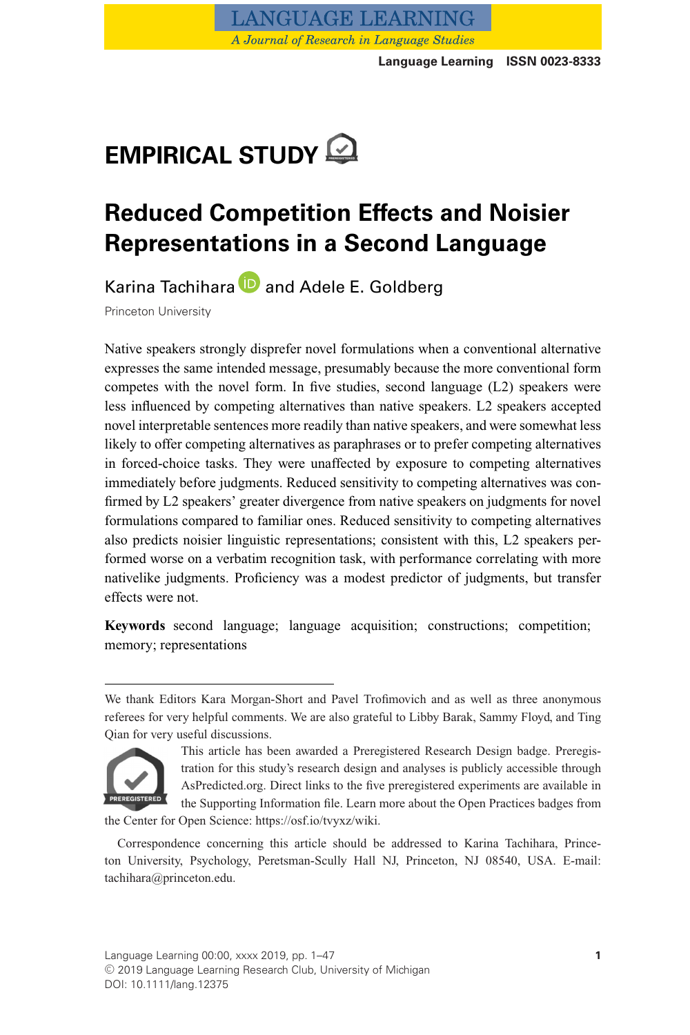

# **Reduced Competition Effects and Noisier Representations in a Second Language**

Karina Tachihara **D** and Adele E. Goldberg

Princeton University

Native speakers strongly disprefer novel formulations when a conventional alternative expresses the same intended message, presumably because the more conventional form competes with the novel form. In five studies, second language (L2) speakers were less influenced by competing alternatives than native speakers. L2 speakers accepted novel interpretable sentences more readily than native speakers, and were somewhat less likely to offer competing alternatives as paraphrases or to prefer competing alternatives in forced-choice tasks. They were unaffected by exposure to competing alternatives immediately before judgments. Reduced sensitivity to competing alternatives was confirmed by L2 speakers' greater divergence from native speakers on judgments for novel formulations compared to familiar ones. Reduced sensitivity to competing alternatives also predicts noisier linguistic representations; consistent with this, L2 speakers performed worse on a verbatim recognition task, with performance correlating with more nativelike judgments. Proficiency was a modest predictor of judgments, but transfer effects were not.

**Keywords** second language; language acquisition; constructions; competition; memory; representations

We thank Editors Kara Morgan-Short and Pavel Trofimovich and as well as three anonymous referees for very helpful comments. We are also grateful to Libby Barak, Sammy Floyd, and Ting Qian for very useful discussions.



This article has been awarded a Preregistered Research Design badge. Preregistration for this study's research design and analyses is publicly accessible through AsPredicted.org. Direct links to the five preregistered experiments are available in the Supporting Information file. Learn more about the Open Practices badges from

the Center for Open Science: https://osf.io/tvyxz/wiki.

Correspondence concerning this article should be addressed to Karina Tachihara, Princeton University, Psychology, Peretsman-Scully Hall NJ, Princeton, NJ 08540, USA. E-mail: tachihara@princeton.edu.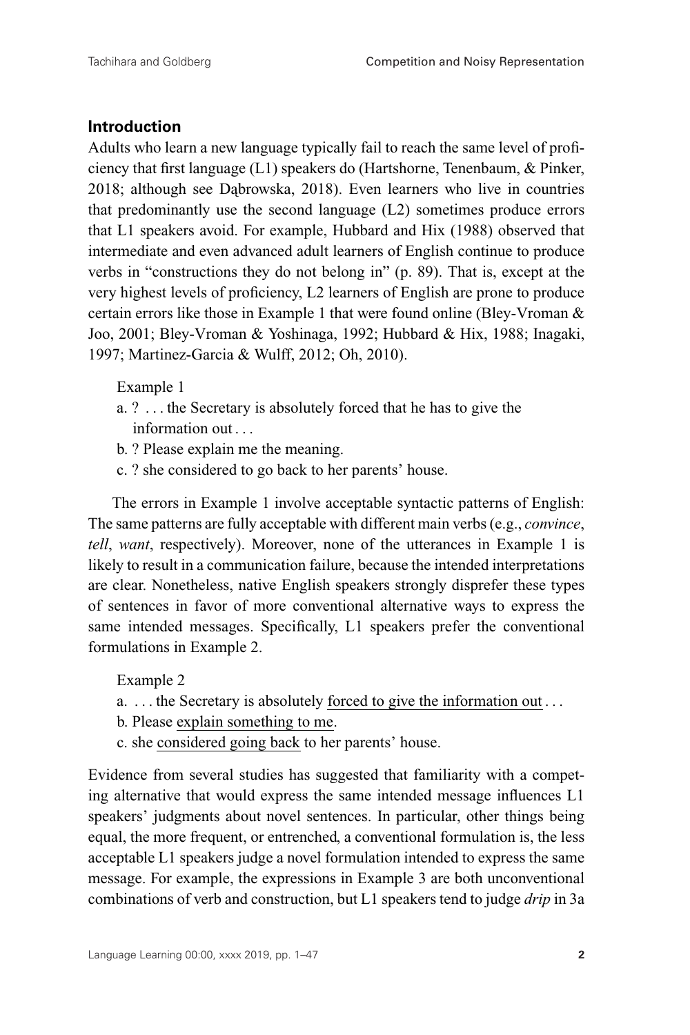# **Introduction**

Adults who learn a new language typically fail to reach the same level of proficiency that first language (L1) speakers do (Hartshorne, Tenenbaum, & Pinker, 2018; although see Dabrowska, 2018). Even learners who live in countries that predominantly use the second language (L2) sometimes produce errors that L1 speakers avoid. For example, Hubbard and Hix (1988) observed that intermediate and even advanced adult learners of English continue to produce verbs in "constructions they do not belong in" (p. 89). That is, except at the very highest levels of proficiency, L2 learners of English are prone to produce certain errors like those in Example 1 that were found online (Bley-Vroman & Joo, 2001; Bley-Vroman & Yoshinaga, 1992; Hubbard & Hix, 1988; Inagaki, 1997; Martinez-Garcia & Wulff, 2012; Oh, 2010).

Example 1

- a. ? . . . the Secretary is absolutely forced that he has to give the information out . . .
- b. ? Please explain me the meaning.
- c. ? she considered to go back to her parents' house.

The errors in Example 1 involve acceptable syntactic patterns of English: The same patterns are fully acceptable with different main verbs (e.g., *convince*, *tell*, *want*, respectively). Moreover, none of the utterances in Example 1 is likely to result in a communication failure, because the intended interpretations are clear. Nonetheless, native English speakers strongly disprefer these types of sentences in favor of more conventional alternative ways to express the same intended messages. Specifically, L1 speakers prefer the conventional formulations in Example 2.

Example 2

- a. . . . the Secretary is absolutely forced to give the information out . . .
- b. Please explain something to me.
- c. she considered going back to her parents' house.

Evidence from several studies has suggested that familiarity with a competing alternative that would express the same intended message influences L1 speakers' judgments about novel sentences. In particular, other things being equal, the more frequent, or entrenched, a conventional formulation is, the less acceptable L1 speakers judge a novel formulation intended to express the same message. For example, the expressions in Example 3 are both unconventional combinations of verb and construction, but L1 speakers tend to judge *drip* in 3a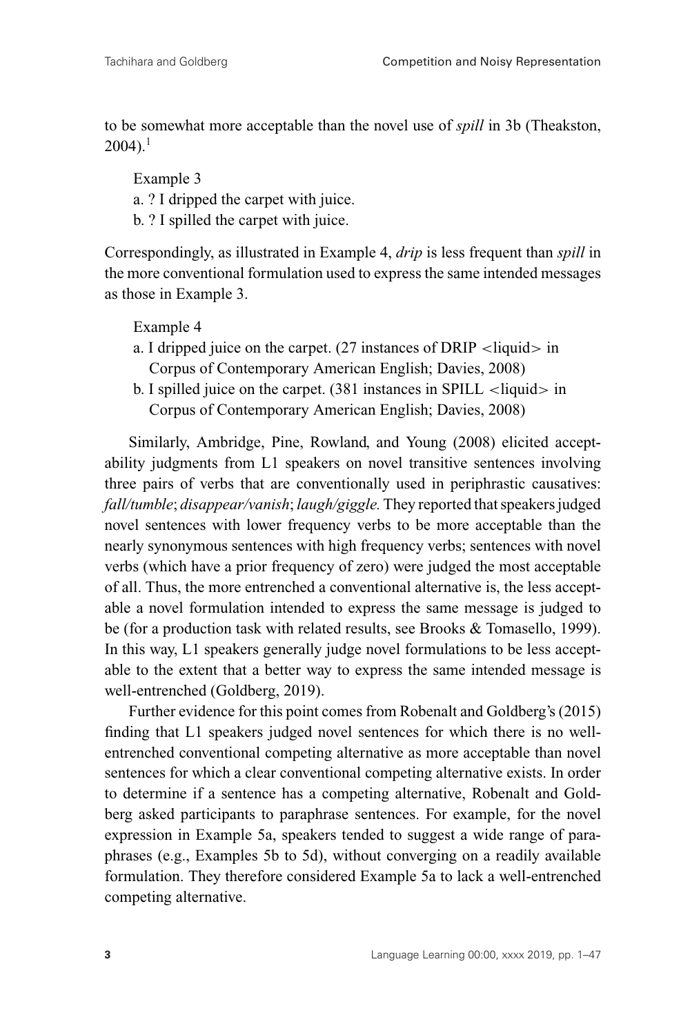to be somewhat more acceptable than the novel use of *spill* in 3b (Theakston,  $2004$ ).<sup>1</sup>

Example 3 a. ? I dripped the carpet with juice.

b. ? I spilled the carpet with juice.

Correspondingly, as illustrated in Example 4, *drip* is less frequent than *spill* in the more conventional formulation used to express the same intended messages as those in Example 3.

Example 4

- a. I dripped juice on the carpet.  $(27 \text{ instances of DRIP } <$ liquid $>$  in Corpus of Contemporary American English; Davies, 2008)
- b. I spilled juice on the carpet. (381 instances in SPILL <liquid> in Corpus of Contemporary American English; Davies, 2008)

Similarly, Ambridge, Pine, Rowland, and Young (2008) elicited acceptability judgments from L1 speakers on novel transitive sentences involving three pairs of verbs that are conventionally used in periphrastic causatives: *fall/tumble*; *disappear/vanish*; *laugh/giggle.* They reported that speakers judged novel sentences with lower frequency verbs to be more acceptable than the nearly synonymous sentences with high frequency verbs; sentences with novel verbs (which have a prior frequency of zero) were judged the most acceptable of all. Thus, the more entrenched a conventional alternative is, the less acceptable a novel formulation intended to express the same message is judged to be (for a production task with related results, see Brooks & Tomasello, 1999). In this way, L1 speakers generally judge novel formulations to be less acceptable to the extent that a better way to express the same intended message is well-entrenched (Goldberg, 2019).

Further evidence for this point comes from Robenalt and Goldberg's (2015) finding that L1 speakers judged novel sentences for which there is no wellentrenched conventional competing alternative as more acceptable than novel sentences for which a clear conventional competing alternative exists. In order to determine if a sentence has a competing alternative, Robenalt and Goldberg asked participants to paraphrase sentences. For example, for the novel expression in Example 5a, speakers tended to suggest a wide range of paraphrases (e.g., Examples 5b to 5d), without converging on a readily available formulation. They therefore considered Example 5a to lack a well-entrenched competing alternative.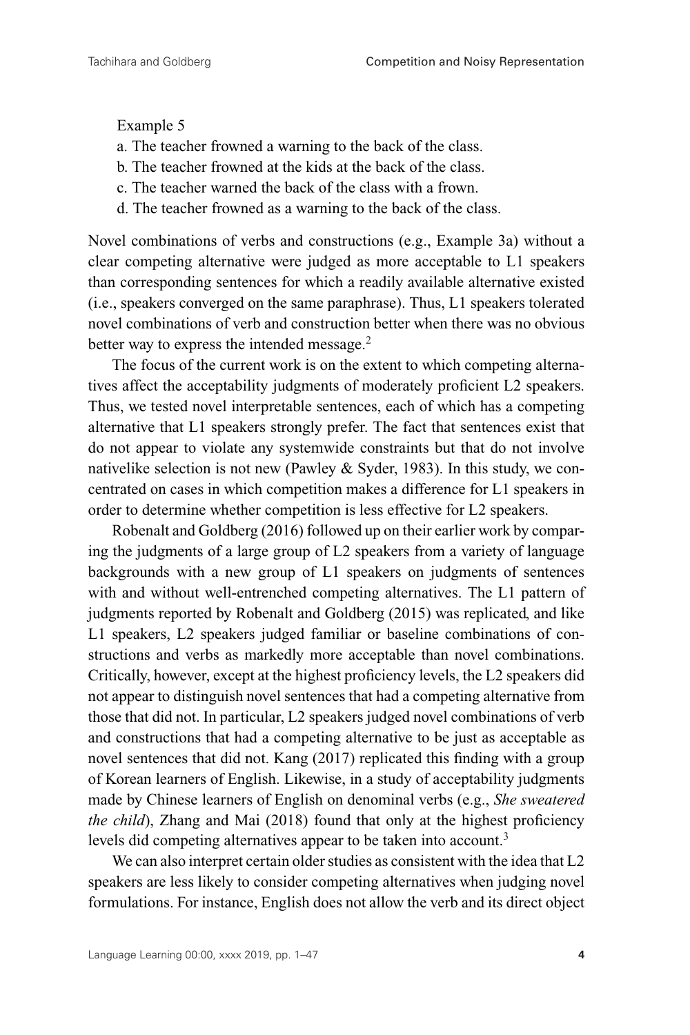Example 5

- a. The teacher frowned a warning to the back of the class.
- b. The teacher frowned at the kids at the back of the class.
- c. The teacher warned the back of the class with a frown.
- d. The teacher frowned as a warning to the back of the class.

Novel combinations of verbs and constructions (e.g., Example 3a) without a clear competing alternative were judged as more acceptable to L1 speakers than corresponding sentences for which a readily available alternative existed (i.e., speakers converged on the same paraphrase). Thus, L1 speakers tolerated novel combinations of verb and construction better when there was no obvious better way to express the intended message.<sup>2</sup>

The focus of the current work is on the extent to which competing alternatives affect the acceptability judgments of moderately proficient L2 speakers. Thus, we tested novel interpretable sentences, each of which has a competing alternative that L1 speakers strongly prefer. The fact that sentences exist that do not appear to violate any systemwide constraints but that do not involve nativelike selection is not new (Pawley & Syder, 1983). In this study, we concentrated on cases in which competition makes a difference for L1 speakers in order to determine whether competition is less effective for L2 speakers.

Robenalt and Goldberg (2016) followed up on their earlier work by comparing the judgments of a large group of L2 speakers from a variety of language backgrounds with a new group of L1 speakers on judgments of sentences with and without well-entrenched competing alternatives. The L1 pattern of judgments reported by Robenalt and Goldberg (2015) was replicated, and like L1 speakers, L2 speakers judged familiar or baseline combinations of constructions and verbs as markedly more acceptable than novel combinations. Critically, however, except at the highest proficiency levels, the L2 speakers did not appear to distinguish novel sentences that had a competing alternative from those that did not. In particular, L2 speakers judged novel combinations of verb and constructions that had a competing alternative to be just as acceptable as novel sentences that did not. Kang (2017) replicated this finding with a group of Korean learners of English. Likewise, in a study of acceptability judgments made by Chinese learners of English on denominal verbs (e.g., *She sweatered the child*), Zhang and Mai (2018) found that only at the highest proficiency levels did competing alternatives appear to be taken into account.<sup>3</sup>

We can also interpret certain older studies as consistent with the idea that L2 speakers are less likely to consider competing alternatives when judging novel formulations. For instance, English does not allow the verb and its direct object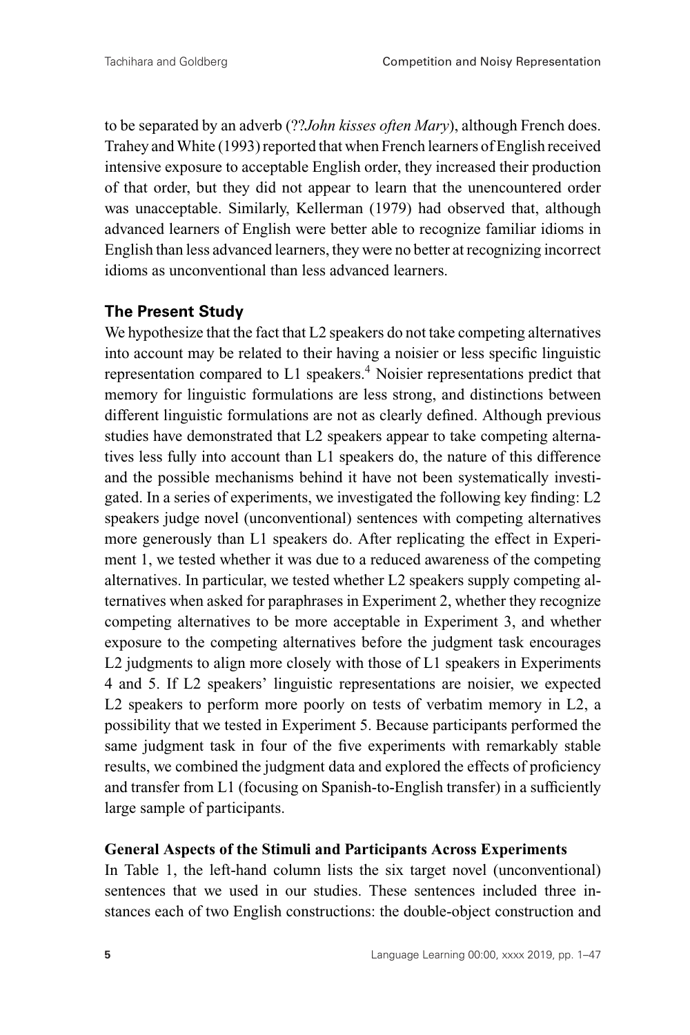to be separated by an adverb (??*John kisses often Mary*), although French does. Trahey andWhite (1993) reported that when French learners of English received intensive exposure to acceptable English order, they increased their production of that order, but they did not appear to learn that the unencountered order was unacceptable. Similarly, Kellerman (1979) had observed that, although advanced learners of English were better able to recognize familiar idioms in English than less advanced learners, they were no better at recognizing incorrect idioms as unconventional than less advanced learners.

## **The Present Study**

We hypothesize that the fact that L2 speakers do not take competing alternatives into account may be related to their having a noisier or less specific linguistic representation compared to L1 speakers.4 Noisier representations predict that memory for linguistic formulations are less strong, and distinctions between different linguistic formulations are not as clearly defined. Although previous studies have demonstrated that L2 speakers appear to take competing alternatives less fully into account than L1 speakers do, the nature of this difference and the possible mechanisms behind it have not been systematically investigated. In a series of experiments, we investigated the following key finding: L2 speakers judge novel (unconventional) sentences with competing alternatives more generously than L1 speakers do. After replicating the effect in Experiment 1, we tested whether it was due to a reduced awareness of the competing alternatives. In particular, we tested whether L2 speakers supply competing alternatives when asked for paraphrases in Experiment 2, whether they recognize competing alternatives to be more acceptable in Experiment 3, and whether exposure to the competing alternatives before the judgment task encourages L2 judgments to align more closely with those of L1 speakers in Experiments 4 and 5. If L2 speakers' linguistic representations are noisier, we expected L2 speakers to perform more poorly on tests of verbatim memory in L2, a possibility that we tested in Experiment 5. Because participants performed the same judgment task in four of the five experiments with remarkably stable results, we combined the judgment data and explored the effects of proficiency and transfer from L1 (focusing on Spanish-to-English transfer) in a sufficiently large sample of participants.

#### **General Aspects of the Stimuli and Participants Across Experiments**

In Table 1, the left-hand column lists the six target novel (unconventional) sentences that we used in our studies. These sentences included three instances each of two English constructions: the double-object construction and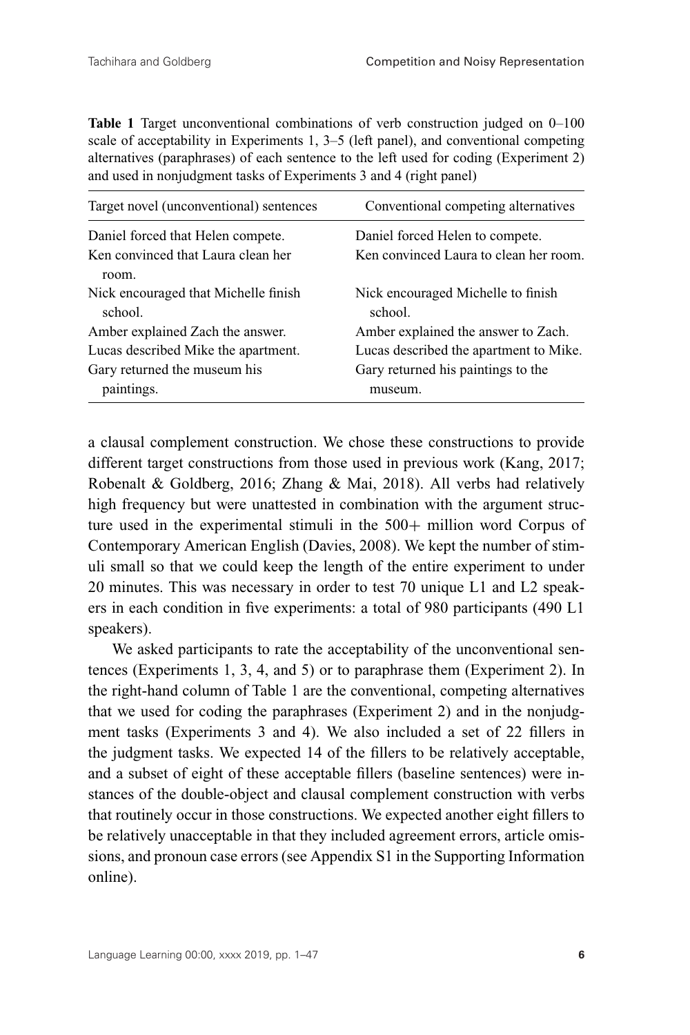**Table 1** Target unconventional combinations of verb construction judged on 0–100 scale of acceptability in Experiments 1, 3–5 (left panel), and conventional competing alternatives (paraphrases) of each sentence to the left used for coding (Experiment 2) and used in nonjudgment tasks of Experiments 3 and 4 (right panel)

| Target novel (unconventional) sentences         | Conventional competing alternatives           |
|-------------------------------------------------|-----------------------------------------------|
| Daniel forced that Helen compete.               | Daniel forced Helen to compete.               |
| Ken convinced that Laura clean her<br>room.     | Ken convinced Laura to clean her room.        |
| Nick encouraged that Michelle finish<br>school. | Nick encouraged Michelle to finish<br>school. |
| Amber explained Zach the answer.                | Amber explained the answer to Zach.           |
| Lucas described Mike the apartment.             | Lucas described the apartment to Mike.        |
| Gary returned the museum his<br>paintings.      | Gary returned his paintings to the<br>museum. |

a clausal complement construction. We chose these constructions to provide different target constructions from those used in previous work (Kang, 2017; Robenalt & Goldberg, 2016; Zhang & Mai, 2018). All verbs had relatively high frequency but were unattested in combination with the argument structure used in the experimental stimuli in the 500+ million word Corpus of Contemporary American English (Davies, 2008). We kept the number of stimuli small so that we could keep the length of the entire experiment to under 20 minutes. This was necessary in order to test 70 unique L1 and L2 speakers in each condition in five experiments: a total of 980 participants (490 L1 speakers).

We asked participants to rate the acceptability of the unconventional sentences (Experiments 1, 3, 4, and 5) or to paraphrase them (Experiment 2). In the right-hand column of Table 1 are the conventional, competing alternatives that we used for coding the paraphrases (Experiment 2) and in the nonjudgment tasks (Experiments 3 and 4). We also included a set of 22 fillers in the judgment tasks. We expected 14 of the fillers to be relatively acceptable, and a subset of eight of these acceptable fillers (baseline sentences) were instances of the double-object and clausal complement construction with verbs that routinely occur in those constructions. We expected another eight fillers to be relatively unacceptable in that they included agreement errors, article omissions, and pronoun case errors (see Appendix S1 in the Supporting Information online).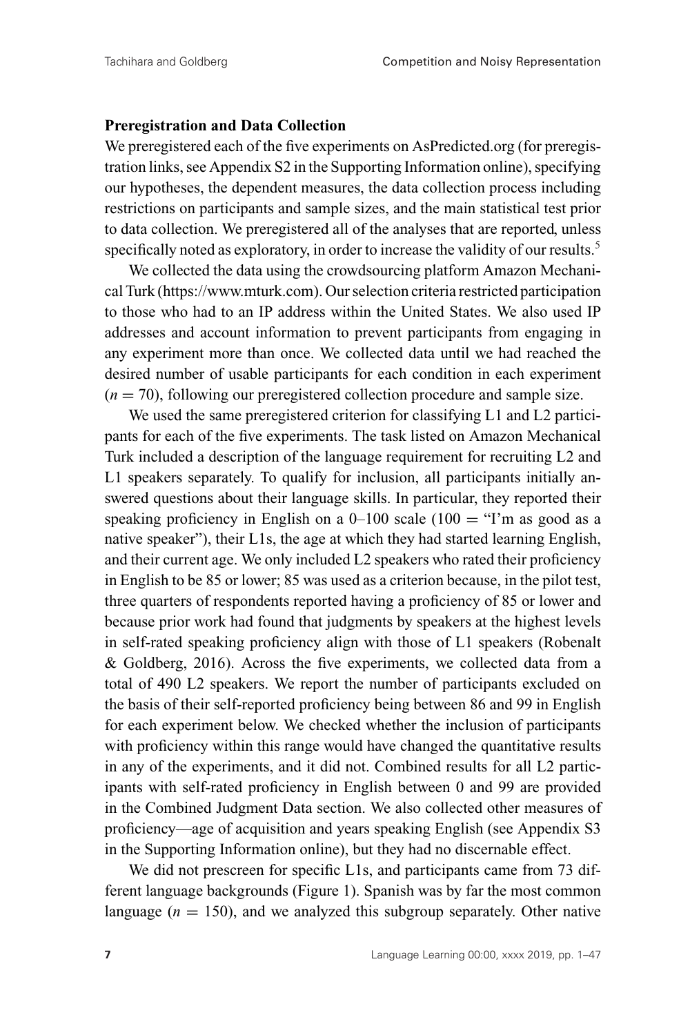#### **Preregistration and Data Collection**

We preregistered each of the five experiments on AsPredicted.org (for preregistration links, see Appendix S2 in the Supporting Information online), specifying our hypotheses, the dependent measures, the data collection process including restrictions on participants and sample sizes, and the main statistical test prior to data collection. We preregistered all of the analyses that are reported, unless specifically noted as exploratory, in order to increase the validity of our results.<sup>5</sup>

We collected the data using the crowdsourcing platform Amazon Mechanical Turk (https://www.mturk.com). Our selection criteria restricted participation to those who had to an IP address within the United States. We also used IP addresses and account information to prevent participants from engaging in any experiment more than once. We collected data until we had reached the desired number of usable participants for each condition in each experiment  $(n = 70)$ , following our preregistered collection procedure and sample size.

We used the same preregistered criterion for classifying L1 and L2 participants for each of the five experiments. The task listed on Amazon Mechanical Turk included a description of the language requirement for recruiting L2 and L1 speakers separately. To qualify for inclusion, all participants initially answered questions about their language skills. In particular, they reported their speaking proficiency in English on a  $0-100$  scale (100 = "I'm as good as a native speaker"), their L1s, the age at which they had started learning English, and their current age. We only included L2 speakers who rated their proficiency in English to be 85 or lower; 85 was used as a criterion because, in the pilot test, three quarters of respondents reported having a proficiency of 85 or lower and because prior work had found that judgments by speakers at the highest levels in self-rated speaking proficiency align with those of L1 speakers (Robenalt & Goldberg, 2016). Across the five experiments, we collected data from a total of 490 L2 speakers. We report the number of participants excluded on the basis of their self-reported proficiency being between 86 and 99 in English for each experiment below. We checked whether the inclusion of participants with proficiency within this range would have changed the quantitative results in any of the experiments, and it did not. Combined results for all L2 participants with self-rated proficiency in English between 0 and 99 are provided in the Combined Judgment Data section. We also collected other measures of proficiency—age of acquisition and years speaking English (see Appendix S3 in the Supporting Information online), but they had no discernable effect.

We did not prescreen for specific L1s, and participants came from 73 different language backgrounds (Figure 1). Spanish was by far the most common language  $(n = 150)$ , and we analyzed this subgroup separately. Other native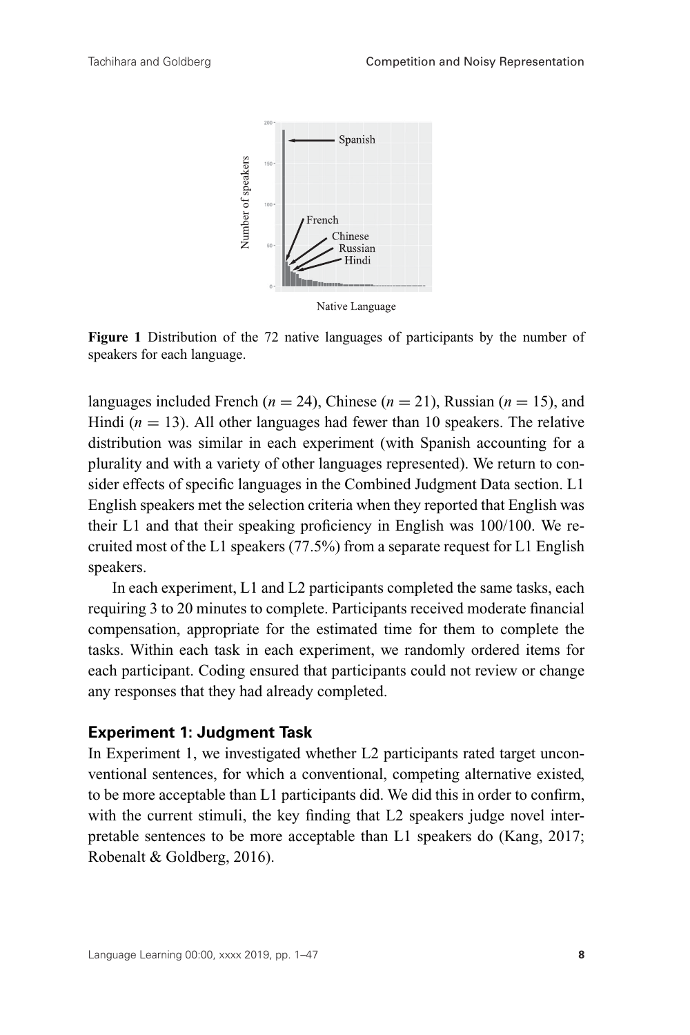

Native Language

**Figure 1** Distribution of the 72 native languages of participants by the number of speakers for each language.

languages included French ( $n = 24$ ), Chinese ( $n = 21$ ), Russian ( $n = 15$ ), and Hindi  $(n = 13)$ . All other languages had fewer than 10 speakers. The relative distribution was similar in each experiment (with Spanish accounting for a plurality and with a variety of other languages represented). We return to consider effects of specific languages in the Combined Judgment Data section. L1 English speakers met the selection criteria when they reported that English was their L1 and that their speaking proficiency in English was 100/100. We recruited most of the L1 speakers (77.5%) from a separate request for L1 English speakers.

In each experiment, L1 and L2 participants completed the same tasks, each requiring 3 to 20 minutes to complete. Participants received moderate financial compensation, appropriate for the estimated time for them to complete the tasks. Within each task in each experiment, we randomly ordered items for each participant. Coding ensured that participants could not review or change any responses that they had already completed.

#### **Experiment 1: Judgment Task**

In Experiment 1, we investigated whether L2 participants rated target unconventional sentences, for which a conventional, competing alternative existed, to be more acceptable than L1 participants did. We did this in order to confirm, with the current stimuli, the key finding that L2 speakers judge novel interpretable sentences to be more acceptable than L1 speakers do (Kang, 2017; Robenalt & Goldberg, 2016).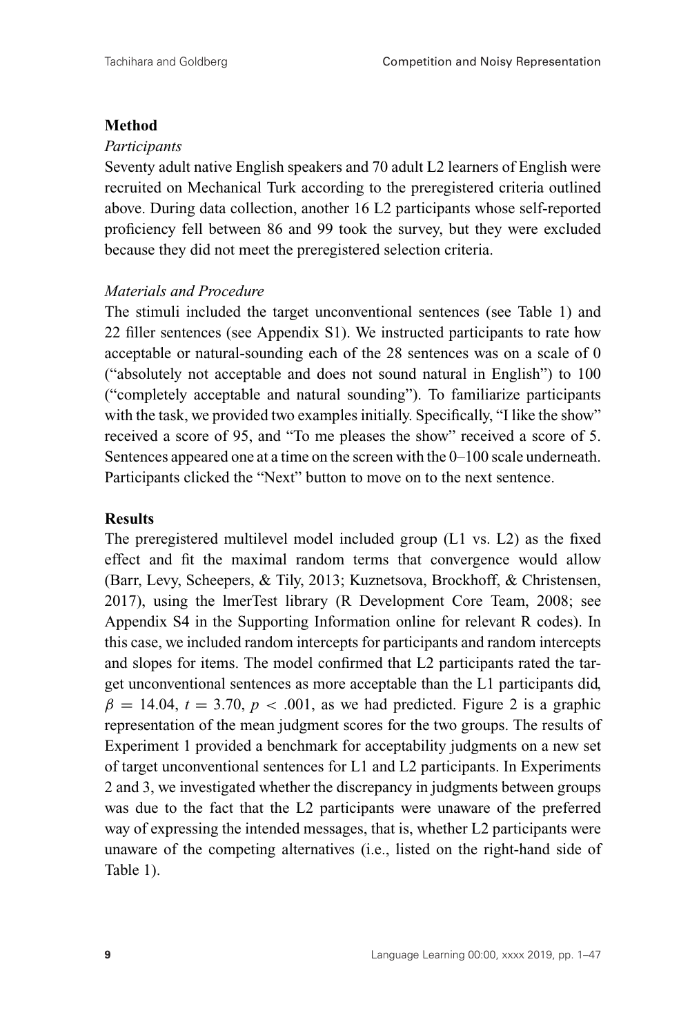#### **Method**

#### *Participants*

Seventy adult native English speakers and 70 adult L2 learners of English were recruited on Mechanical Turk according to the preregistered criteria outlined above. During data collection, another 16 L2 participants whose self-reported proficiency fell between 86 and 99 took the survey, but they were excluded because they did not meet the preregistered selection criteria.

## *Materials and Procedure*

The stimuli included the target unconventional sentences (see Table 1) and 22 filler sentences (see Appendix S1). We instructed participants to rate how acceptable or natural-sounding each of the 28 sentences was on a scale of 0 ("absolutely not acceptable and does not sound natural in English") to 100 ("completely acceptable and natural sounding"). To familiarize participants with the task, we provided two examples initially. Specifically, "I like the show" received a score of 95, and "To me pleases the show" received a score of 5. Sentences appeared one at a time on the screen with the 0–100 scale underneath. Participants clicked the "Next" button to move on to the next sentence.

# **Results**

The preregistered multilevel model included group (L1 vs. L2) as the fixed effect and fit the maximal random terms that convergence would allow (Barr, Levy, Scheepers, & Tily, 2013; Kuznetsova, Brockhoff, & Christensen, 2017), using the lmerTest library (R Development Core Team, 2008; see Appendix S4 in the Supporting Information online for relevant R codes). In this case, we included random intercepts for participants and random intercepts and slopes for items. The model confirmed that L2 participants rated the target unconventional sentences as more acceptable than the L1 participants did,  $\beta = 14.04$ ,  $t = 3.70$ ,  $p < .001$ , as we had predicted. Figure 2 is a graphic representation of the mean judgment scores for the two groups. The results of Experiment 1 provided a benchmark for acceptability judgments on a new set of target unconventional sentences for L1 and L2 participants. In Experiments 2 and 3, we investigated whether the discrepancy in judgments between groups was due to the fact that the L2 participants were unaware of the preferred way of expressing the intended messages, that is, whether L2 participants were unaware of the competing alternatives (i.e., listed on the right-hand side of Table 1).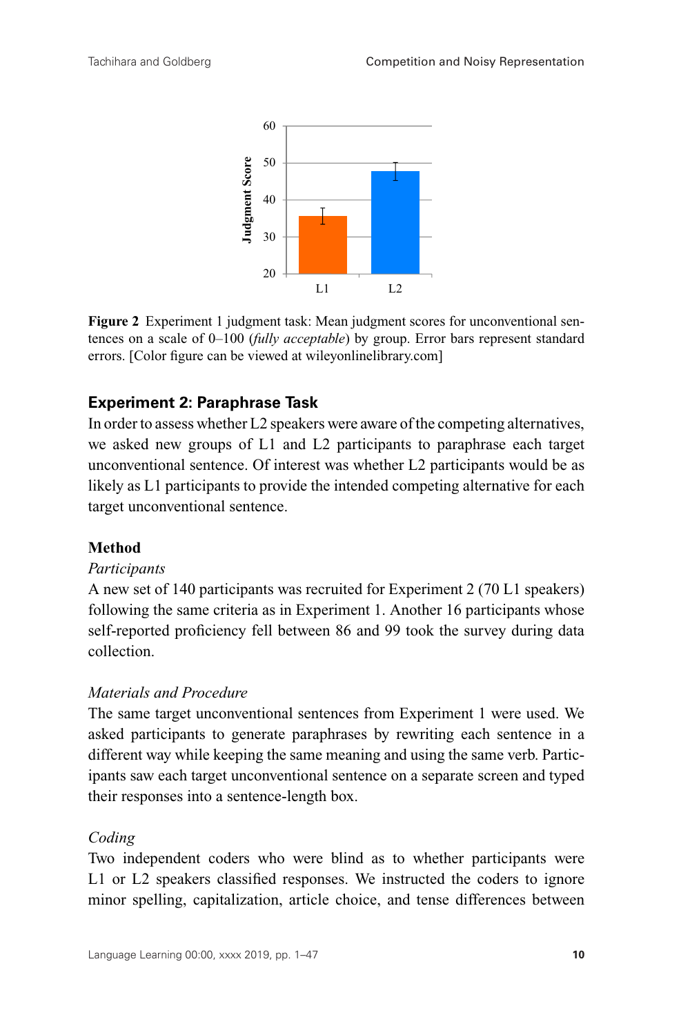

**Figure 2** Experiment 1 judgment task: Mean judgment scores for unconventional sentences on a scale of 0–100 (*fully acceptable*) by group. Error bars represent standard errors. [Color figure can be viewed at wileyonlinelibrary.com]

# **Experiment 2: Paraphrase Task**

In order to assess whether L2 speakers were aware of the competing alternatives, we asked new groups of L1 and L2 participants to paraphrase each target unconventional sentence. Of interest was whether L2 participants would be as likely as L1 participants to provide the intended competing alternative for each target unconventional sentence.

## **Method**

## *Participants*

A new set of 140 participants was recruited for Experiment 2 (70 L1 speakers) following the same criteria as in Experiment 1. Another 16 participants whose self-reported proficiency fell between 86 and 99 took the survey during data collection.

## *Materials and Procedure*

The same target unconventional sentences from Experiment 1 were used. We asked participants to generate paraphrases by rewriting each sentence in a different way while keeping the same meaning and using the same verb. Participants saw each target unconventional sentence on a separate screen and typed their responses into a sentence-length box.

# *Coding*

Two independent coders who were blind as to whether participants were L1 or L2 speakers classified responses. We instructed the coders to ignore minor spelling, capitalization, article choice, and tense differences between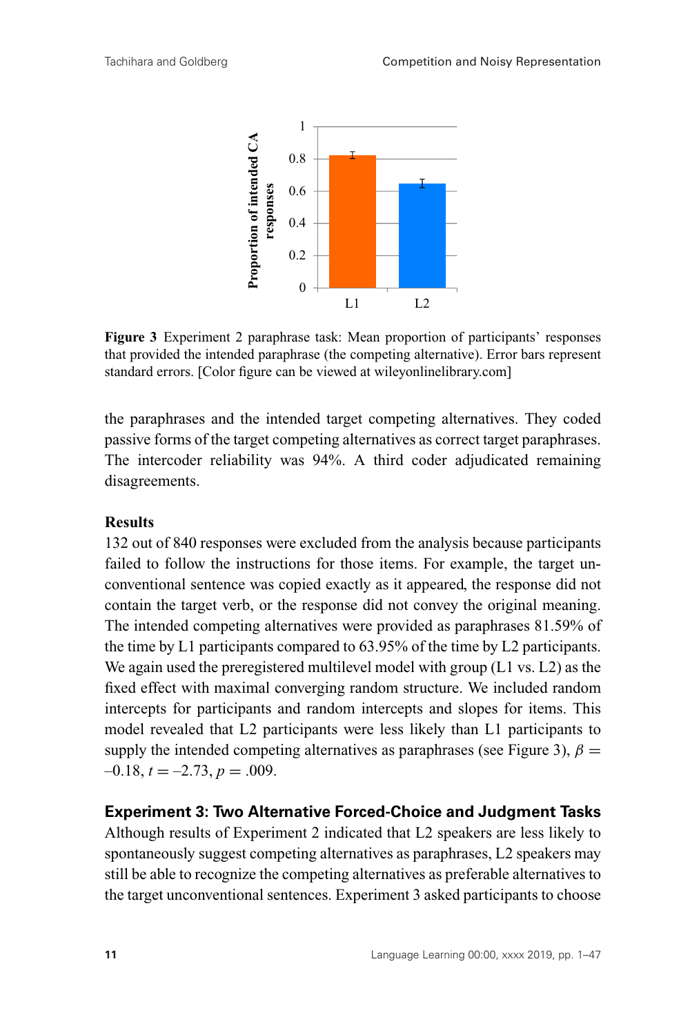

**Figure 3** Experiment 2 paraphrase task: Mean proportion of participants' responses that provided the intended paraphrase (the competing alternative). Error bars represent standard errors. [Color figure can be viewed at wileyonlinelibrary.com]

the paraphrases and the intended target competing alternatives. They coded passive forms of the target competing alternatives as correct target paraphrases. The intercoder reliability was 94%. A third coder adjudicated remaining disagreements.

#### **Results**

132 out of 840 responses were excluded from the analysis because participants failed to follow the instructions for those items. For example, the target unconventional sentence was copied exactly as it appeared, the response did not contain the target verb, or the response did not convey the original meaning. The intended competing alternatives were provided as paraphrases 81.59% of the time by L1 participants compared to 63.95% of the time by L2 participants. We again used the preregistered multilevel model with group (L1 vs. L2) as the fixed effect with maximal converging random structure. We included random intercepts for participants and random intercepts and slopes for items. This model revealed that L2 participants were less likely than L1 participants to supply the intended competing alternatives as paraphrases (see Figure 3),  $\beta =$  $-0.18$ ,  $t = -2.73$ ,  $p = .009$ .

## **Experiment 3: Two Alternative Forced-Choice and Judgment Tasks**

Although results of Experiment 2 indicated that L2 speakers are less likely to spontaneously suggest competing alternatives as paraphrases, L2 speakers may still be able to recognize the competing alternatives as preferable alternatives to the target unconventional sentences. Experiment 3 asked participants to choose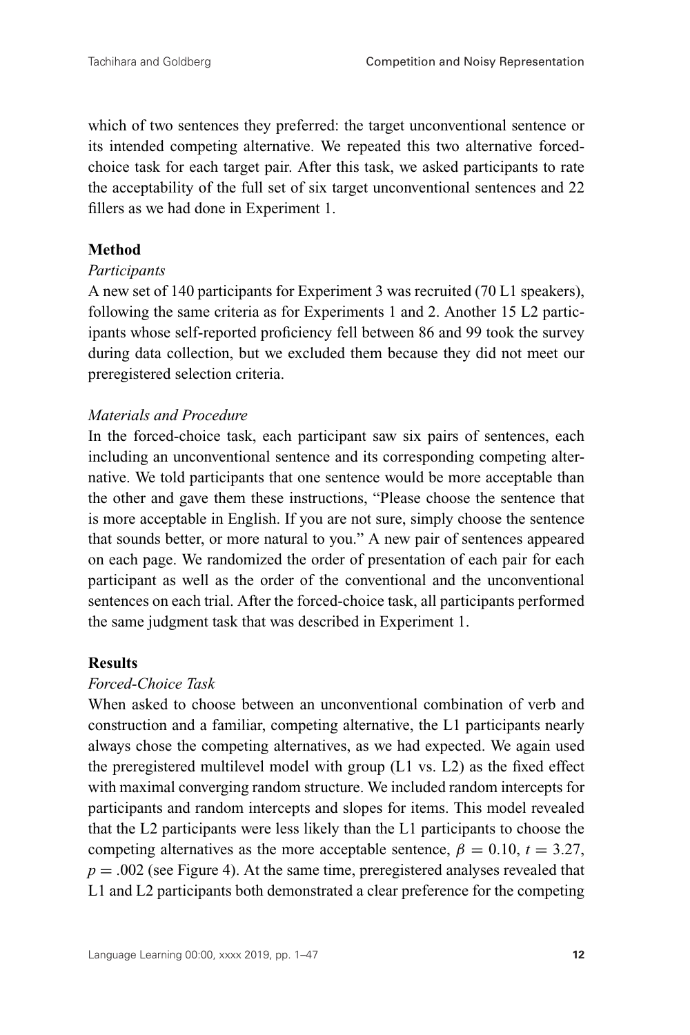which of two sentences they preferred: the target unconventional sentence or its intended competing alternative. We repeated this two alternative forcedchoice task for each target pair. After this task, we asked participants to rate the acceptability of the full set of six target unconventional sentences and 22 fillers as we had done in Experiment 1.

#### **Method**

#### *Participants*

A new set of 140 participants for Experiment 3 was recruited (70 L1 speakers), following the same criteria as for Experiments 1 and 2. Another 15 L2 participants whose self-reported proficiency fell between 86 and 99 took the survey during data collection, but we excluded them because they did not meet our preregistered selection criteria.

#### *Materials and Procedure*

In the forced-choice task, each participant saw six pairs of sentences, each including an unconventional sentence and its corresponding competing alternative. We told participants that one sentence would be more acceptable than the other and gave them these instructions, "Please choose the sentence that is more acceptable in English. If you are not sure, simply choose the sentence that sounds better, or more natural to you." A new pair of sentences appeared on each page. We randomized the order of presentation of each pair for each participant as well as the order of the conventional and the unconventional sentences on each trial. After the forced-choice task, all participants performed the same judgment task that was described in Experiment 1.

#### **Results**

#### *Forced-Choice Task*

When asked to choose between an unconventional combination of verb and construction and a familiar, competing alternative, the L1 participants nearly always chose the competing alternatives, as we had expected. We again used the preregistered multilevel model with group (L1 vs. L2) as the fixed effect with maximal converging random structure. We included random intercepts for participants and random intercepts and slopes for items. This model revealed that the L2 participants were less likely than the L1 participants to choose the competing alternatives as the more acceptable sentence,  $\beta = 0.10$ ,  $t = 3.27$ ,  $p = .002$  (see Figure 4). At the same time, preregistered analyses revealed that L1 and L2 participants both demonstrated a clear preference for the competing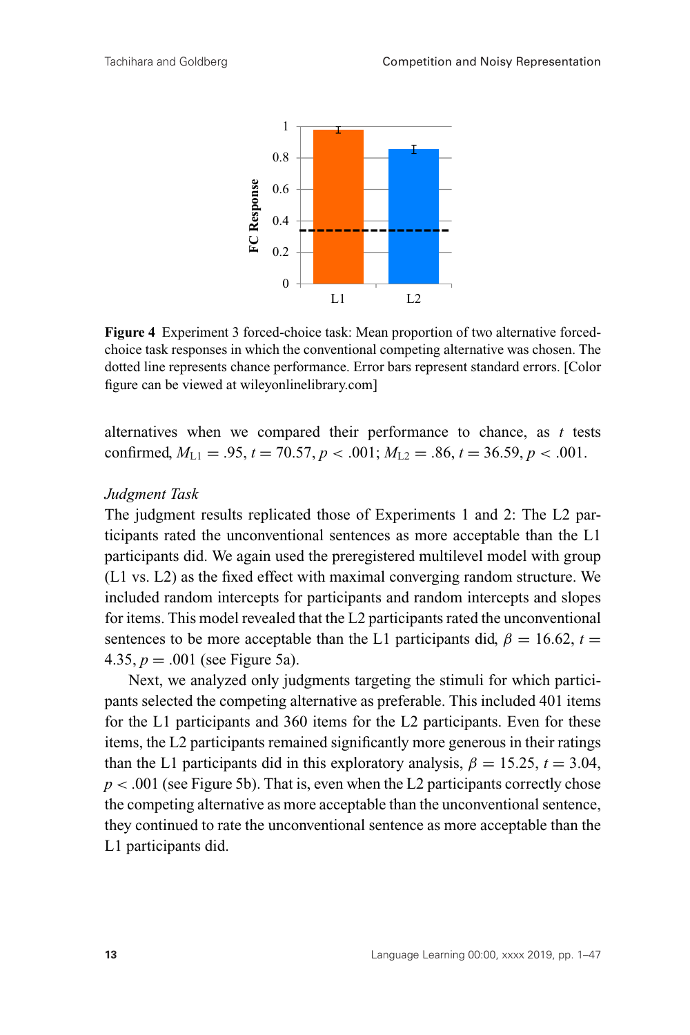

**Figure 4** Experiment 3 forced-choice task: Mean proportion of two alternative forcedchoice task responses in which the conventional competing alternative was chosen. The dotted line represents chance performance. Error bars represent standard errors. [Color figure can be viewed at wileyonlinelibrary.com]

alternatives when we compared their performance to chance, as *t* tests confirmed,  $M_{L1} = .95$ ,  $t = 70.57$ ,  $p < .001$ ;  $M_{L2} = .86$ ,  $t = 36.59$ ,  $p < .001$ .

#### *Judgment Task*

The judgment results replicated those of Experiments 1 and 2: The L2 participants rated the unconventional sentences as more acceptable than the L1 participants did. We again used the preregistered multilevel model with group (L1 vs. L2) as the fixed effect with maximal converging random structure. We included random intercepts for participants and random intercepts and slopes for items. This model revealed that the L2 participants rated the unconventional sentences to be more acceptable than the L1 participants did,  $\beta = 16.62$ ,  $t =$ 4.35,  $p = .001$  (see Figure 5a).

Next, we analyzed only judgments targeting the stimuli for which participants selected the competing alternative as preferable. This included 401 items for the L1 participants and 360 items for the L2 participants. Even for these items, the L2 participants remained significantly more generous in their ratings than the L1 participants did in this exploratory analysis,  $\beta = 15.25$ ,  $t = 3.04$ ,  $p < .001$  (see Figure 5b). That is, even when the L2 participants correctly chose the competing alternative as more acceptable than the unconventional sentence, they continued to rate the unconventional sentence as more acceptable than the L1 participants did.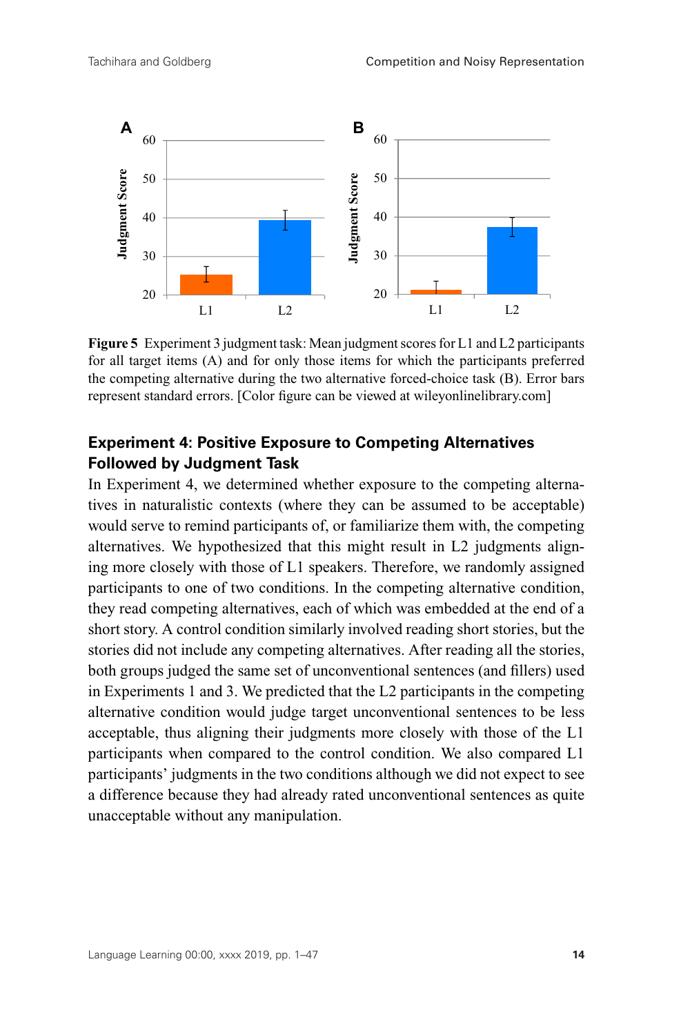

**Figure 5** Experiment 3 judgment task: Mean judgment scores for L1 and L2 participants for all target items (A) and for only those items for which the participants preferred the competing alternative during the two alternative forced-choice task (B). Error bars represent standard errors. [Color figure can be viewed at wileyonlinelibrary.com]

# **Experiment 4: Positive Exposure to Competing Alternatives Followed by Judgment Task**

In Experiment 4, we determined whether exposure to the competing alternatives in naturalistic contexts (where they can be assumed to be acceptable) would serve to remind participants of, or familiarize them with, the competing alternatives. We hypothesized that this might result in L2 judgments aligning more closely with those of L1 speakers. Therefore, we randomly assigned participants to one of two conditions. In the competing alternative condition, they read competing alternatives, each of which was embedded at the end of a short story. A control condition similarly involved reading short stories, but the stories did not include any competing alternatives. After reading all the stories, both groups judged the same set of unconventional sentences (and fillers) used in Experiments 1 and 3. We predicted that the L2 participants in the competing alternative condition would judge target unconventional sentences to be less acceptable, thus aligning their judgments more closely with those of the L1 participants when compared to the control condition. We also compared L1 participants' judgments in the two conditions although we did not expect to see a difference because they had already rated unconventional sentences as quite unacceptable without any manipulation.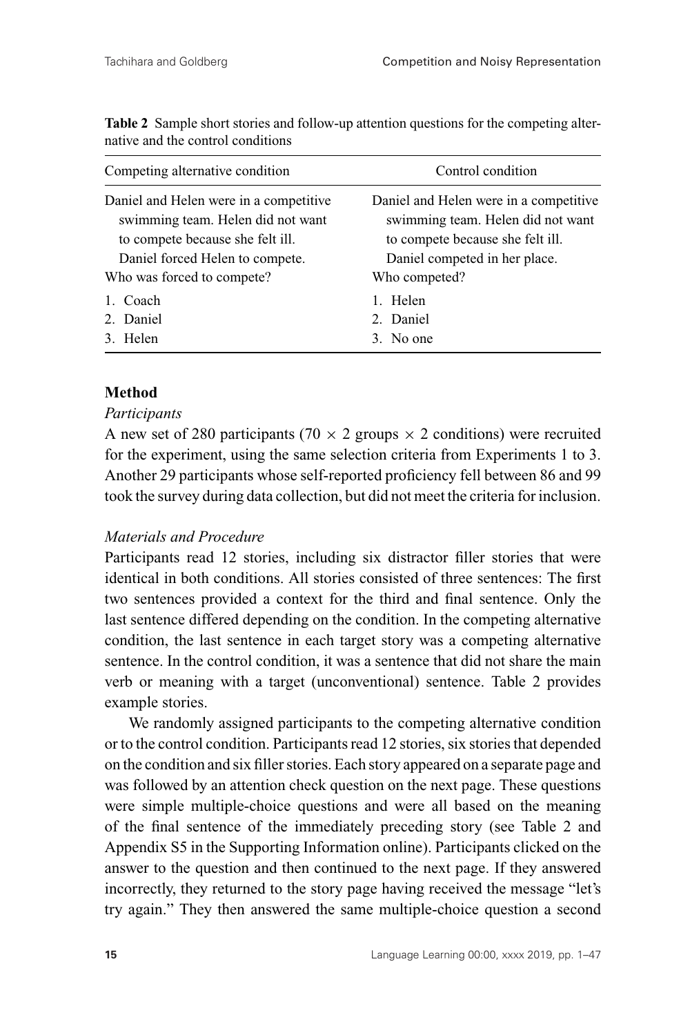| Control condition                                                                                                                                                 |
|-------------------------------------------------------------------------------------------------------------------------------------------------------------------|
| Daniel and Helen were in a competitive<br>swimming team. Helen did not want<br>to compete because she felt ill.<br>Daniel competed in her place.<br>Who competed? |
| Helen<br>$1_{-}$<br>2. Daniel<br>3. No one                                                                                                                        |
|                                                                                                                                                                   |

**Table 2** Sample short stories and follow-up attention questions for the competing alternative and the control conditions

# **Method**

#### *Participants*

A new set of 280 participants (70  $\times$  2 groups  $\times$  2 conditions) were recruited for the experiment, using the same selection criteria from Experiments 1 to 3. Another 29 participants whose self-reported proficiency fell between 86 and 99 took the survey during data collection, but did not meet the criteria for inclusion.

## *Materials and Procedure*

Participants read 12 stories, including six distractor filler stories that were identical in both conditions. All stories consisted of three sentences: The first two sentences provided a context for the third and final sentence. Only the last sentence differed depending on the condition. In the competing alternative condition, the last sentence in each target story was a competing alternative sentence. In the control condition, it was a sentence that did not share the main verb or meaning with a target (unconventional) sentence. Table 2 provides example stories.

We randomly assigned participants to the competing alternative condition or to the control condition. Participants read 12 stories, six stories that depended on the condition and six filler stories. Each story appeared on a separate page and was followed by an attention check question on the next page. These questions were simple multiple-choice questions and were all based on the meaning of the final sentence of the immediately preceding story (see Table 2 and Appendix S5 in the Supporting Information online). Participants clicked on the answer to the question and then continued to the next page. If they answered incorrectly, they returned to the story page having received the message "let's try again." They then answered the same multiple-choice question a second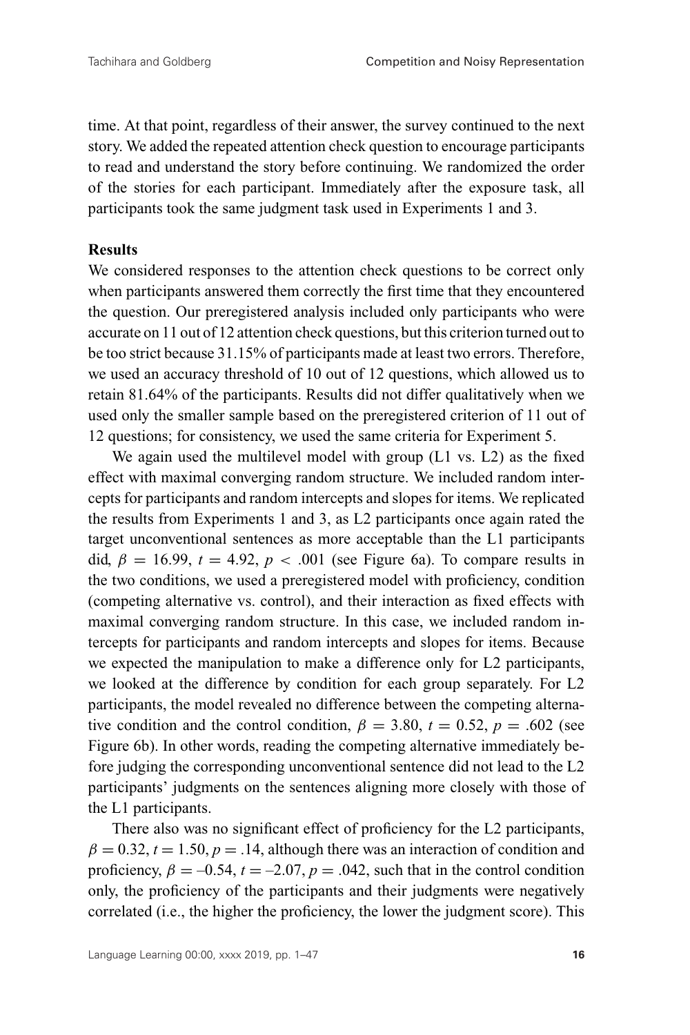time. At that point, regardless of their answer, the survey continued to the next story. We added the repeated attention check question to encourage participants to read and understand the story before continuing. We randomized the order of the stories for each participant. Immediately after the exposure task, all participants took the same judgment task used in Experiments 1 and 3.

#### **Results**

We considered responses to the attention check questions to be correct only when participants answered them correctly the first time that they encountered the question. Our preregistered analysis included only participants who were accurate on 11 out of 12 attention check questions, but this criterion turned out to be too strict because 31.15% of participants made at least two errors. Therefore, we used an accuracy threshold of 10 out of 12 questions, which allowed us to retain 81.64% of the participants. Results did not differ qualitatively when we used only the smaller sample based on the preregistered criterion of 11 out of 12 questions; for consistency, we used the same criteria for Experiment 5.

We again used the multilevel model with group (L1 vs. L2) as the fixed effect with maximal converging random structure. We included random intercepts for participants and random intercepts and slopes for items. We replicated the results from Experiments 1 and 3, as L2 participants once again rated the target unconventional sentences as more acceptable than the L1 participants did,  $\beta = 16.99$ ,  $t = 4.92$ ,  $p < .001$  (see Figure 6a). To compare results in the two conditions, we used a preregistered model with proficiency, condition (competing alternative vs. control), and their interaction as fixed effects with maximal converging random structure. In this case, we included random intercepts for participants and random intercepts and slopes for items. Because we expected the manipulation to make a difference only for L2 participants, we looked at the difference by condition for each group separately. For L2 participants, the model revealed no difference between the competing alternative condition and the control condition,  $\beta = 3.80$ ,  $t = 0.52$ ,  $p = .602$  (see Figure 6b). In other words, reading the competing alternative immediately before judging the corresponding unconventional sentence did not lead to the L2 participants' judgments on the sentences aligning more closely with those of the L1 participants.

There also was no significant effect of proficiency for the L2 participants,  $\beta = 0.32$ ,  $t = 1.50$ ,  $p = .14$ , although there was an interaction of condition and proficiency,  $\beta = -0.54$ ,  $t = -2.07$ ,  $p = .042$ , such that in the control condition only, the proficiency of the participants and their judgments were negatively correlated (i.e., the higher the proficiency, the lower the judgment score). This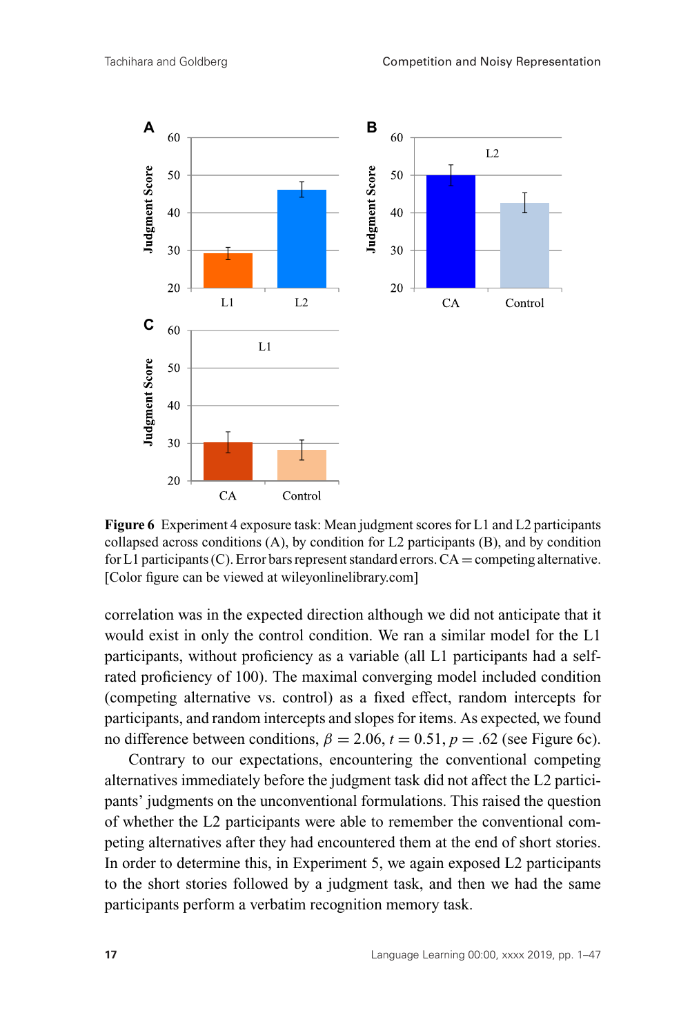

**Figure 6** Experiment 4 exposure task: Mean judgment scores for L1 and L2 participants collapsed across conditions (A), by condition for L2 participants (B), and by condition for L1 participants (C). Error bars represent standard errors.  $CA =$ competing alternative. [Color figure can be viewed at wileyonlinelibrary.com]

correlation was in the expected direction although we did not anticipate that it would exist in only the control condition. We ran a similar model for the L1 participants, without proficiency as a variable (all L1 participants had a selfrated proficiency of 100). The maximal converging model included condition (competing alternative vs. control) as a fixed effect, random intercepts for participants, and random intercepts and slopes for items. As expected, we found no difference between conditions,  $\beta = 2.06$ ,  $t = 0.51$ ,  $p = .62$  (see Figure 6c).

Contrary to our expectations, encountering the conventional competing alternatives immediately before the judgment task did not affect the L2 participants' judgments on the unconventional formulations. This raised the question of whether the L2 participants were able to remember the conventional competing alternatives after they had encountered them at the end of short stories. In order to determine this, in Experiment 5, we again exposed L2 participants to the short stories followed by a judgment task, and then we had the same participants perform a verbatim recognition memory task.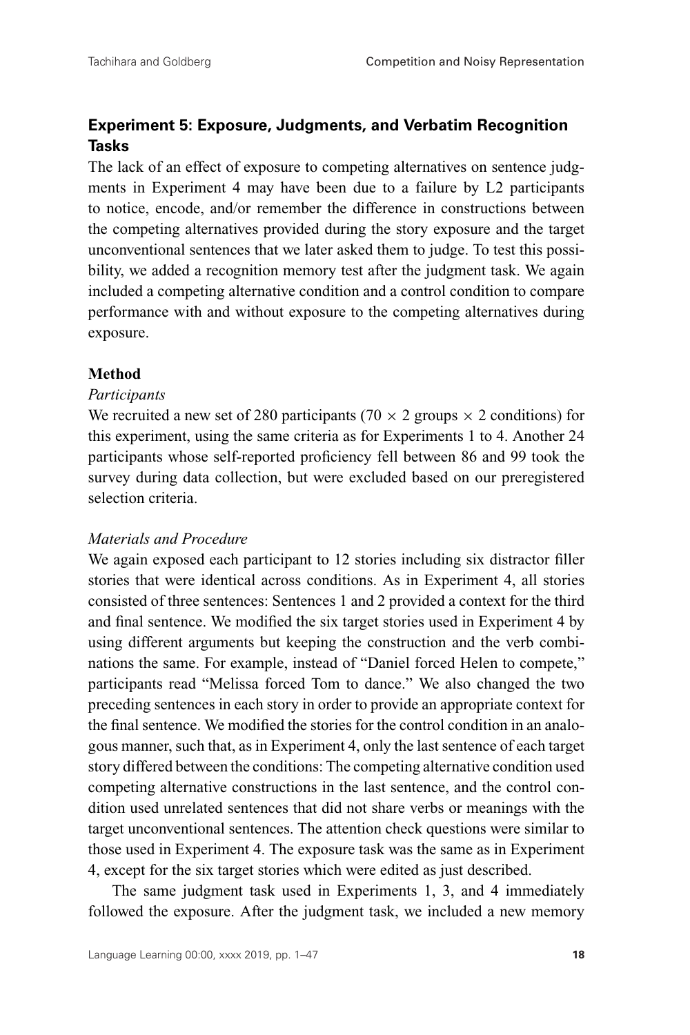# **Experiment 5: Exposure, Judgments, and Verbatim Recognition Tasks**

The lack of an effect of exposure to competing alternatives on sentence judgments in Experiment 4 may have been due to a failure by L2 participants to notice, encode, and/or remember the difference in constructions between the competing alternatives provided during the story exposure and the target unconventional sentences that we later asked them to judge. To test this possibility, we added a recognition memory test after the judgment task. We again included a competing alternative condition and a control condition to compare performance with and without exposure to the competing alternatives during exposure.

#### **Method**

#### *Participants*

We recruited a new set of 280 participants (70  $\times$  2 groups  $\times$  2 conditions) for this experiment, using the same criteria as for Experiments 1 to 4. Another 24 participants whose self-reported proficiency fell between 86 and 99 took the survey during data collection, but were excluded based on our preregistered selection criteria.

#### *Materials and Procedure*

We again exposed each participant to 12 stories including six distractor filler stories that were identical across conditions. As in Experiment 4, all stories consisted of three sentences: Sentences 1 and 2 provided a context for the third and final sentence. We modified the six target stories used in Experiment 4 by using different arguments but keeping the construction and the verb combinations the same. For example, instead of "Daniel forced Helen to compete," participants read "Melissa forced Tom to dance." We also changed the two preceding sentences in each story in order to provide an appropriate context for the final sentence. We modified the stories for the control condition in an analogous manner, such that, as in Experiment 4, only the last sentence of each target story differed between the conditions: The competing alternative condition used competing alternative constructions in the last sentence, and the control condition used unrelated sentences that did not share verbs or meanings with the target unconventional sentences. The attention check questions were similar to those used in Experiment 4. The exposure task was the same as in Experiment 4, except for the six target stories which were edited as just described.

The same judgment task used in Experiments 1, 3, and 4 immediately followed the exposure. After the judgment task, we included a new memory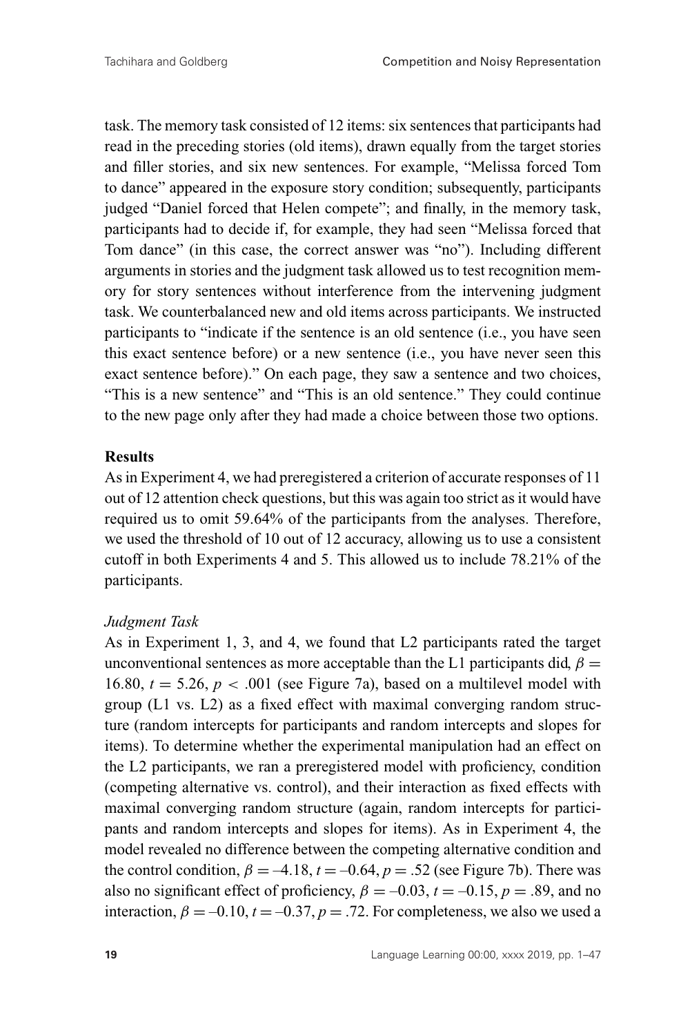task. The memory task consisted of 12 items: six sentences that participants had read in the preceding stories (old items), drawn equally from the target stories and filler stories, and six new sentences. For example, "Melissa forced Tom to dance" appeared in the exposure story condition; subsequently, participants judged "Daniel forced that Helen compete"; and finally, in the memory task, participants had to decide if, for example, they had seen "Melissa forced that Tom dance" (in this case, the correct answer was "no"). Including different arguments in stories and the judgment task allowed us to test recognition memory for story sentences without interference from the intervening judgment task. We counterbalanced new and old items across participants. We instructed participants to "indicate if the sentence is an old sentence (i.e., you have seen this exact sentence before) or a new sentence (i.e., you have never seen this exact sentence before)." On each page, they saw a sentence and two choices, "This is a new sentence" and "This is an old sentence." They could continue to the new page only after they had made a choice between those two options.

#### **Results**

As in Experiment 4, we had preregistered a criterion of accurate responses of 11 out of 12 attention check questions, but this was again too strict as it would have required us to omit 59.64% of the participants from the analyses. Therefore, we used the threshold of 10 out of 12 accuracy, allowing us to use a consistent cutoff in both Experiments 4 and 5. This allowed us to include 78.21% of the participants.

#### *Judgment Task*

As in Experiment 1, 3, and 4, we found that L2 participants rated the target unconventional sentences as more acceptable than the L1 participants did,  $\beta =$ 16.80,  $t = 5.26$ ,  $p < .001$  (see Figure 7a), based on a multilevel model with group (L1 vs. L2) as a fixed effect with maximal converging random structure (random intercepts for participants and random intercepts and slopes for items). To determine whether the experimental manipulation had an effect on the L2 participants, we ran a preregistered model with proficiency, condition (competing alternative vs. control), and their interaction as fixed effects with maximal converging random structure (again, random intercepts for participants and random intercepts and slopes for items). As in Experiment 4, the model revealed no difference between the competing alternative condition and the control condition,  $\beta = -4.18$ ,  $t = -0.64$ ,  $p = .52$  (see Figure 7b). There was also no significant effect of proficiency,  $\beta = -0.03$ ,  $t = -0.15$ ,  $p = .89$ , and no interaction,  $\beta = -0.10$ ,  $t = -0.37$ ,  $p = .72$ . For completeness, we also we used a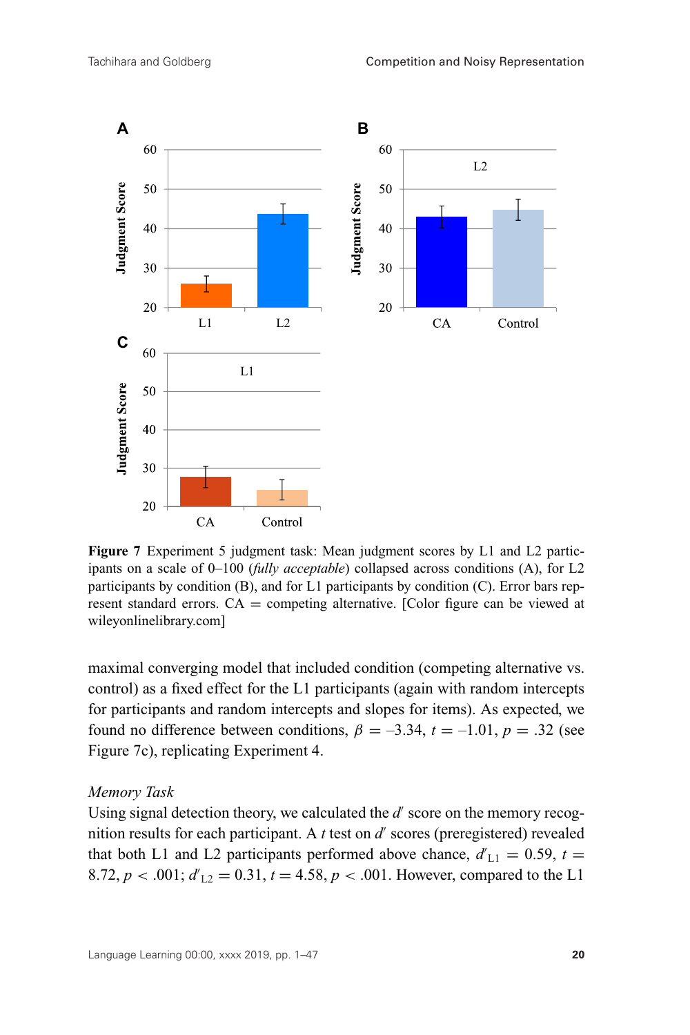

**Figure 7** Experiment 5 judgment task: Mean judgment scores by L1 and L2 participants on a scale of 0–100 (*fully acceptable*) collapsed across conditions (A), for L2 participants by condition (B), and for L1 participants by condition (C). Error bars represent standard errors.  $CA =$  competing alternative. [Color figure can be viewed at wileyonlinelibrary.com]

maximal converging model that included condition (competing alternative vs. control) as a fixed effect for the L1 participants (again with random intercepts for participants and random intercepts and slopes for items). As expected, we found no difference between conditions,  $\beta = -3.34$ ,  $t = -1.01$ ,  $p = .32$  (see Figure 7c), replicating Experiment 4.

#### *Memory Task*

Using signal detection theory, we calculated the *d'* score on the memory recognition results for each participant. A  $t$  test on  $d'$  scores (preregistered) revealed that both L1 and L2 participants performed above chance,  $d'_{L1} = 0.59$ ,  $t =$ 8.72,  $p < .001$ ;  $d'_{L2} = 0.31$ ,  $t = 4.58$ ,  $p < .001$ . However, compared to the L1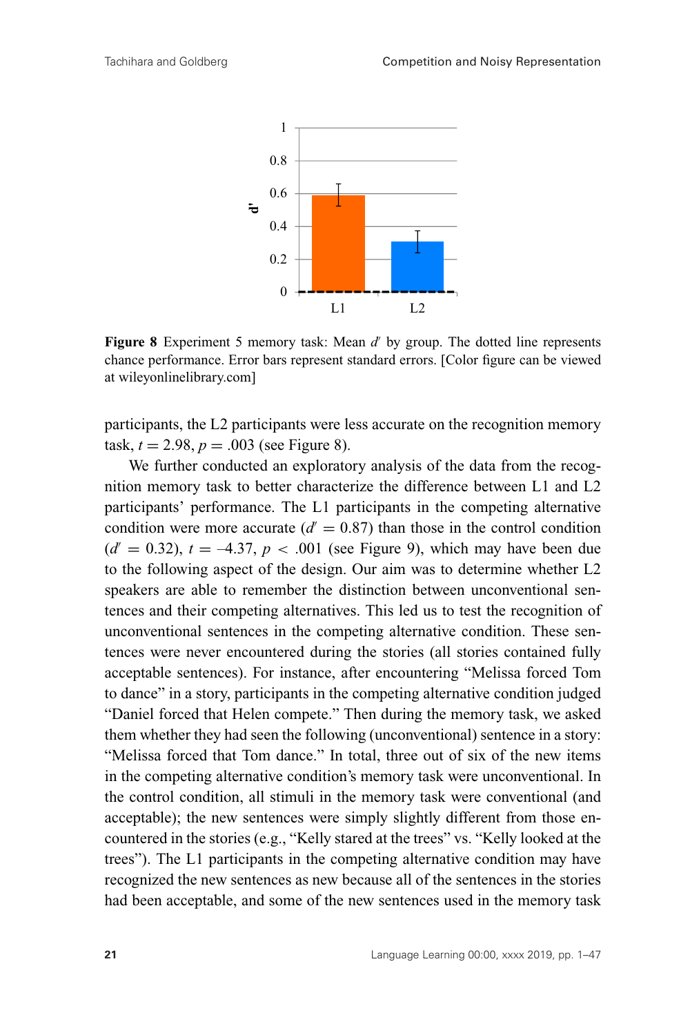

**Figure 8** Experiment 5 memory task: Mean d' by group. The dotted line represents chance performance. Error bars represent standard errors. [Color figure can be viewed at wileyonlinelibrary.com]

participants, the L2 participants were less accurate on the recognition memory task,  $t = 2.98$ ,  $p = .003$  (see Figure 8).

We further conducted an exploratory analysis of the data from the recognition memory task to better characterize the difference between L1 and L2 participants' performance. The L1 participants in the competing alternative condition were more accurate  $(d' = 0.87)$  than those in the control condition  $(d' = 0.32)$ ,  $t = -4.37$ ,  $p < .001$  (see Figure 9), which may have been due to the following aspect of the design. Our aim was to determine whether L2 speakers are able to remember the distinction between unconventional sentences and their competing alternatives. This led us to test the recognition of unconventional sentences in the competing alternative condition. These sentences were never encountered during the stories (all stories contained fully acceptable sentences). For instance, after encountering "Melissa forced Tom to dance" in a story, participants in the competing alternative condition judged "Daniel forced that Helen compete." Then during the memory task, we asked them whether they had seen the following (unconventional) sentence in a story: "Melissa forced that Tom dance." In total, three out of six of the new items in the competing alternative condition's memory task were unconventional. In the control condition, all stimuli in the memory task were conventional (and acceptable); the new sentences were simply slightly different from those encountered in the stories (e.g., "Kelly stared at the trees" vs. "Kelly looked at the trees"). The L1 participants in the competing alternative condition may have recognized the new sentences as new because all of the sentences in the stories had been acceptable, and some of the new sentences used in the memory task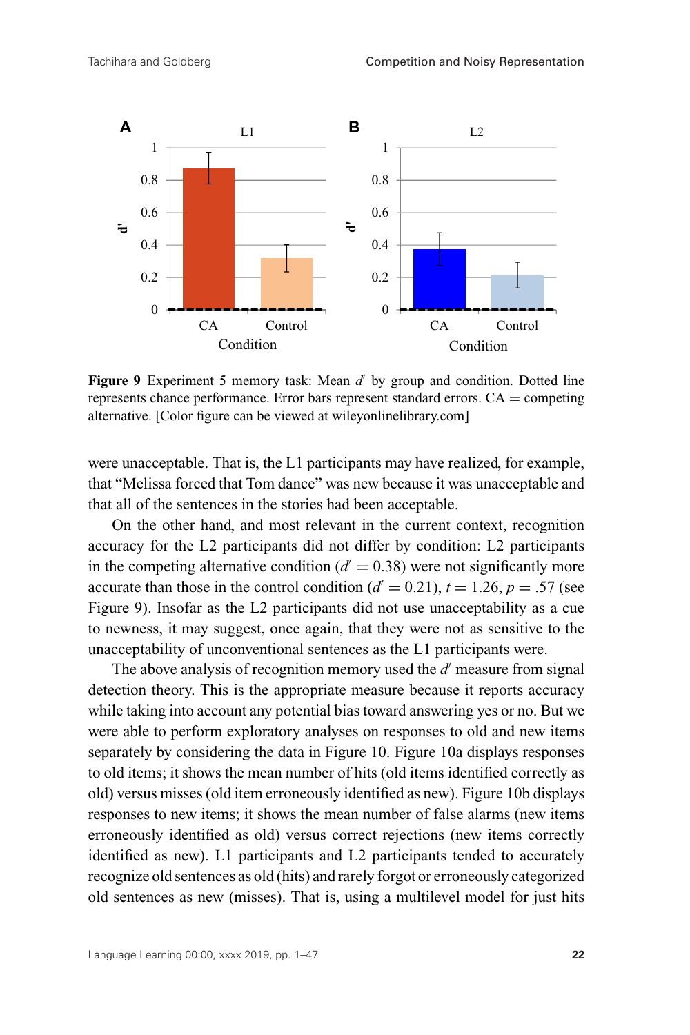

**Figure 9** Experiment 5 memory task: Mean  $d'$  by group and condition. Dotted line represents chance performance. Error bars represent standard errors.  $CA =$  competing alternative. [Color figure can be viewed at wileyonlinelibrary.com]

were unacceptable. That is, the L1 participants may have realized, for example, that "Melissa forced that Tom dance" was new because it was unacceptable and that all of the sentences in the stories had been acceptable.

On the other hand, and most relevant in the current context, recognition accuracy for the L2 participants did not differ by condition: L2 participants in the competing alternative condition  $(d' = 0.38)$  were not significantly more accurate than those in the control condition ( $d' = 0.21$ ),  $t = 1.26$ ,  $p = .57$  (see Figure 9). Insofar as the L2 participants did not use unacceptability as a cue to newness, it may suggest, once again, that they were not as sensitive to the unacceptability of unconventional sentences as the L1 participants were.

The above analysis of recognition memory used the  $d'$  measure from signal detection theory. This is the appropriate measure because it reports accuracy while taking into account any potential bias toward answering yes or no. But we were able to perform exploratory analyses on responses to old and new items separately by considering the data in Figure 10. Figure 10a displays responses to old items; it shows the mean number of hits (old items identified correctly as old) versus misses (old item erroneously identified as new). Figure 10b displays responses to new items; it shows the mean number of false alarms (new items erroneously identified as old) versus correct rejections (new items correctly identified as new). L1 participants and L2 participants tended to accurately recognize old sentences as old (hits) and rarely forgot or erroneously categorized old sentences as new (misses). That is, using a multilevel model for just hits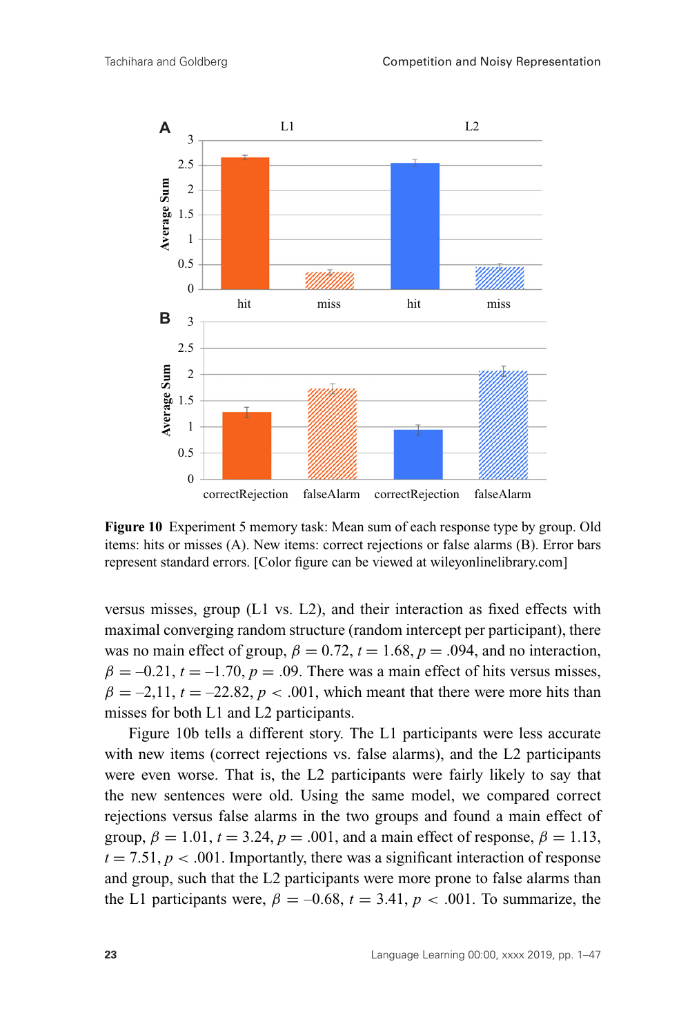

**Figure 10** Experiment 5 memory task: Mean sum of each response type by group. Old items: hits or misses (A). New items: correct rejections or false alarms (B). Error bars represent standard errors. [Color figure can be viewed at wileyonlinelibrary.com]

versus misses, group (L1 vs. L2), and their interaction as fixed effects with maximal converging random structure (random intercept per participant), there was no main effect of group,  $\beta = 0.72$ ,  $t = 1.68$ ,  $p = .094$ , and no interaction,  $\beta = -0.21$ ,  $t = -1.70$ ,  $p = .09$ . There was a main effect of hits versus misses,  $\beta = -2.11$ ,  $t = -22.82$ ,  $p < .001$ , which meant that there were more hits than misses for both L1 and L2 participants.

Figure 10b tells a different story. The L1 participants were less accurate with new items (correct rejections vs. false alarms), and the L2 participants were even worse. That is, the L2 participants were fairly likely to say that the new sentences were old. Using the same model, we compared correct rejections versus false alarms in the two groups and found a main effect of group,  $\beta = 1.01$ ,  $t = 3.24$ ,  $p = .001$ , and a main effect of response,  $\beta = 1.13$ ,  $t = 7.51, p < .001$ . Importantly, there was a significant interaction of response and group, such that the L2 participants were more prone to false alarms than the L1 participants were,  $\beta = -0.68$ ,  $t = 3.41$ ,  $p < .001$ . To summarize, the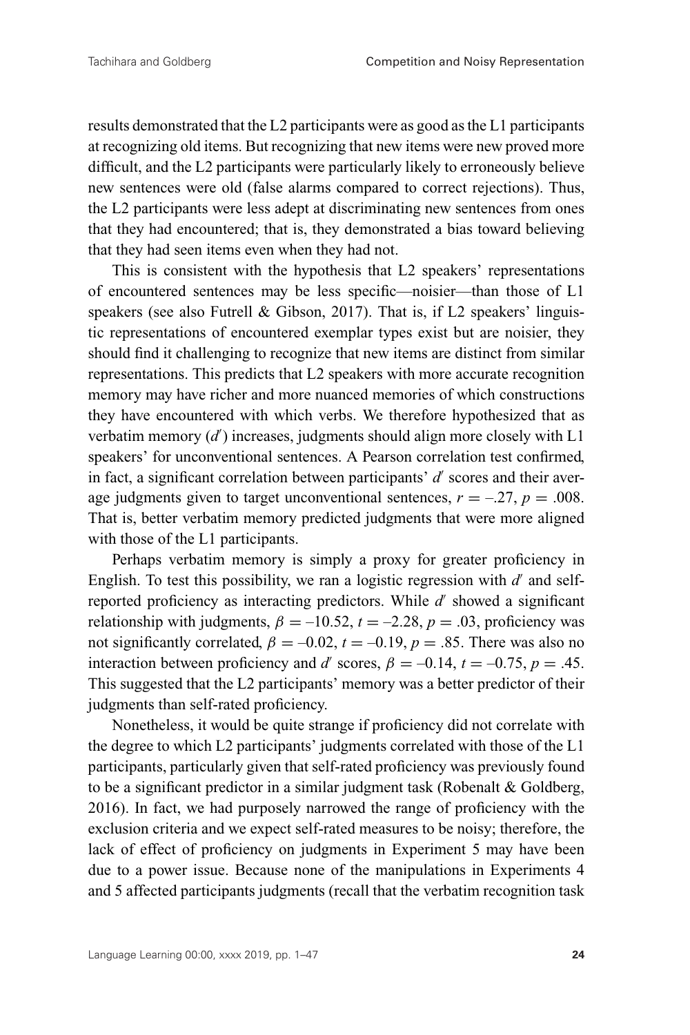results demonstrated that the L2 participants were as good as the L1 participants at recognizing old items. But recognizing that new items were new proved more difficult, and the L2 participants were particularly likely to erroneously believe new sentences were old (false alarms compared to correct rejections). Thus, the L2 participants were less adept at discriminating new sentences from ones that they had encountered; that is, they demonstrated a bias toward believing that they had seen items even when they had not.

This is consistent with the hypothesis that L2 speakers' representations of encountered sentences may be less specific—noisier—than those of L1 speakers (see also Futrell & Gibson, 2017). That is, if L2 speakers' linguistic representations of encountered exemplar types exist but are noisier, they should find it challenging to recognize that new items are distinct from similar representations. This predicts that L2 speakers with more accurate recognition memory may have richer and more nuanced memories of which constructions they have encountered with which verbs. We therefore hypothesized that as verbatim memory (*d* ) increases, judgments should align more closely with L1 speakers' for unconventional sentences. A Pearson correlation test confirmed, in fact, a significant correlation between participants'  $d'$  scores and their average judgments given to target unconventional sentences,  $r = -.27$ ,  $p = .008$ . That is, better verbatim memory predicted judgments that were more aligned with those of the L1 participants.

Perhaps verbatim memory is simply a proxy for greater proficiency in English. To test this possibility, we ran a logistic regression with  $d'$  and selfreported proficiency as interacting predictors. While *d'* showed a significant relationship with judgments,  $\beta = -10.52$ ,  $t = -2.28$ ,  $p = .03$ , proficiency was not significantly correlated,  $\beta = -0.02$ ,  $t = -0.19$ ,  $p = .85$ . There was also no interaction between proficiency and *d*' scores,  $\beta = -0.14$ ,  $t = -0.75$ ,  $p = .45$ . This suggested that the L2 participants' memory was a better predictor of their judgments than self-rated proficiency.

Nonetheless, it would be quite strange if proficiency did not correlate with the degree to which L2 participants' judgments correlated with those of the L1 participants, particularly given that self-rated proficiency was previously found to be a significant predictor in a similar judgment task (Robenalt & Goldberg, 2016). In fact, we had purposely narrowed the range of proficiency with the exclusion criteria and we expect self-rated measures to be noisy; therefore, the lack of effect of proficiency on judgments in Experiment 5 may have been due to a power issue. Because none of the manipulations in Experiments 4 and 5 affected participants judgments (recall that the verbatim recognition task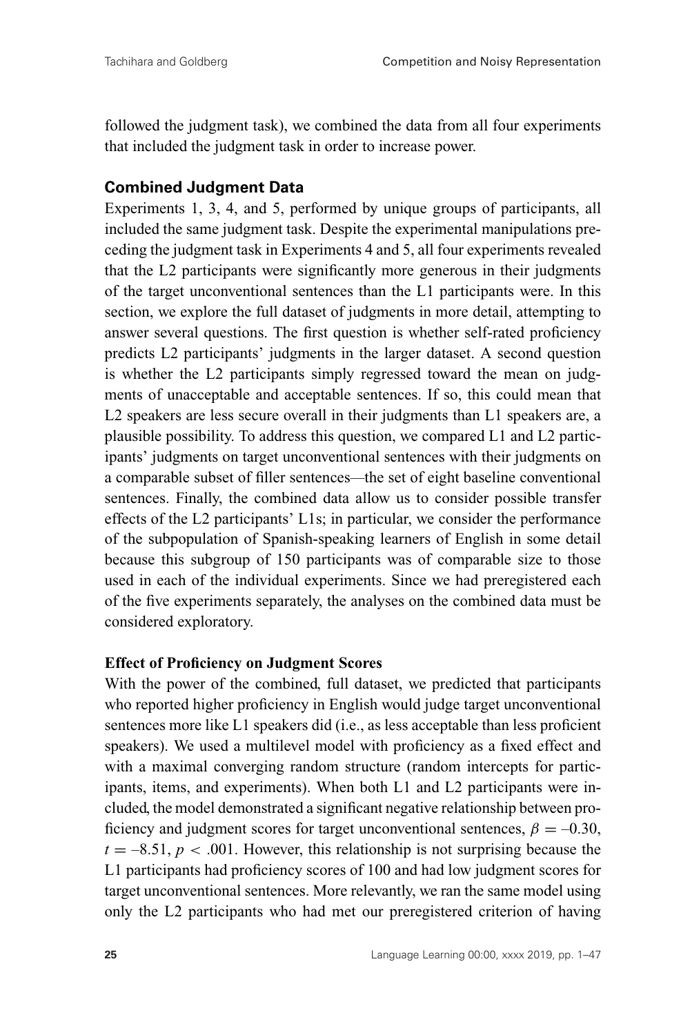followed the judgment task), we combined the data from all four experiments that included the judgment task in order to increase power.

# **Combined Judgment Data**

Experiments 1, 3, 4, and 5, performed by unique groups of participants, all included the same judgment task. Despite the experimental manipulations preceding the judgment task in Experiments 4 and 5, all four experiments revealed that the L2 participants were significantly more generous in their judgments of the target unconventional sentences than the L1 participants were. In this section, we explore the full dataset of judgments in more detail, attempting to answer several questions. The first question is whether self-rated proficiency predicts L2 participants' judgments in the larger dataset. A second question is whether the L2 participants simply regressed toward the mean on judgments of unacceptable and acceptable sentences. If so, this could mean that L2 speakers are less secure overall in their judgments than L1 speakers are, a plausible possibility. To address this question, we compared L1 and L2 participants' judgments on target unconventional sentences with their judgments on a comparable subset of filler sentences*—*the set of eight baseline conventional sentences. Finally, the combined data allow us to consider possible transfer effects of the L2 participants' L1s; in particular, we consider the performance of the subpopulation of Spanish-speaking learners of English in some detail because this subgroup of 150 participants was of comparable size to those used in each of the individual experiments. Since we had preregistered each of the five experiments separately, the analyses on the combined data must be considered exploratory.

## **Effect of Proficiency on Judgment Scores**

With the power of the combined, full dataset, we predicted that participants who reported higher proficiency in English would judge target unconventional sentences more like L1 speakers did (i.e., as less acceptable than less proficient speakers). We used a multilevel model with proficiency as a fixed effect and with a maximal converging random structure (random intercepts for participants, items, and experiments). When both L1 and L2 participants were included, the model demonstrated a significant negative relationship between proficiency and judgment scores for target unconventional sentences,  $\beta = -0.30$ ,  $t = -8.51$ ,  $p < .001$ . However, this relationship is not surprising because the L1 participants had proficiency scores of 100 and had low judgment scores for target unconventional sentences. More relevantly, we ran the same model using only the L2 participants who had met our preregistered criterion of having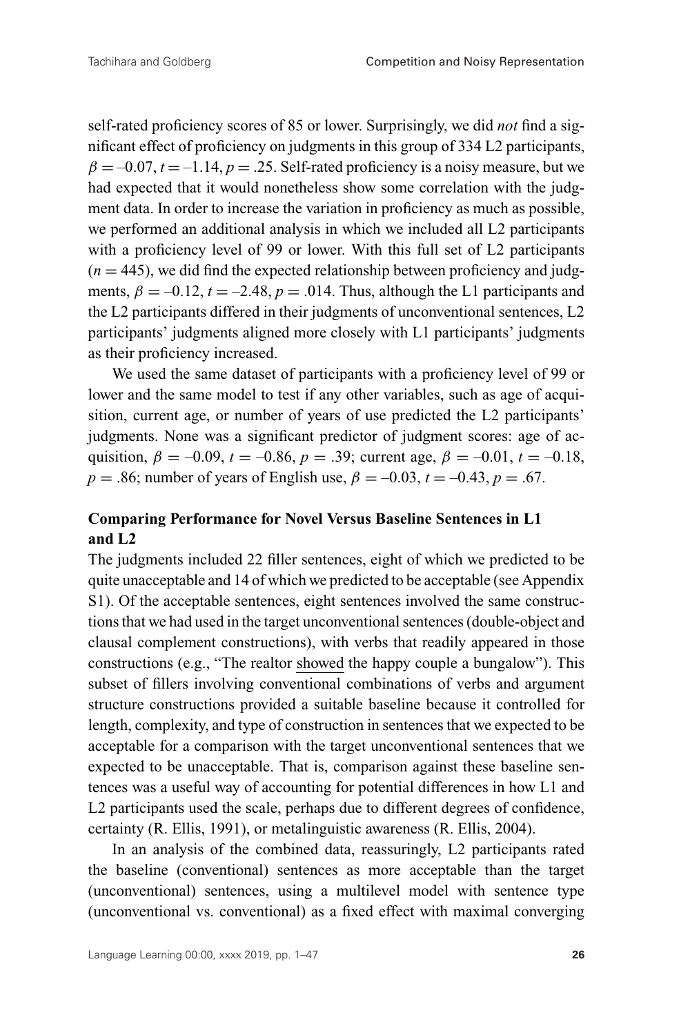self-rated proficiency scores of 85 or lower. Surprisingly, we did *not* find a significant effect of proficiency on judgments in this group of 334 L2 participants,  $\beta = -0.07$ ,  $t = -1.14$ ,  $p = .25$ . Self-rated proficiency is a noisy measure, but we had expected that it would nonetheless show some correlation with the judgment data. In order to increase the variation in proficiency as much as possible, we performed an additional analysis in which we included all L2 participants with a proficiency level of 99 or lower. With this full set of L2 participants  $(n = 445)$ , we did find the expected relationship between proficiency and judgments,  $\beta = -0.12$ ,  $t = -2.48$ ,  $p = .014$ . Thus, although the L1 participants and the L2 participants differed in their judgments of unconventional sentences, L2 participants' judgments aligned more closely with L1 participants' judgments as their proficiency increased.

We used the same dataset of participants with a proficiency level of 99 or lower and the same model to test if any other variables, such as age of acquisition, current age, or number of years of use predicted the L2 participants' judgments. None was a significant predictor of judgment scores: age of acquisition,  $\beta = -0.09$ ,  $t = -0.86$ ,  $p = .39$ ; current age,  $\beta = -0.01$ ,  $t = -0.18$ , *p* = .86; number of years of English use,  $\beta$  = -0.03, *t* = -0.43, *p* = .67.

# **Comparing Performance for Novel Versus Baseline Sentences in L1 and L2**

The judgments included 22 filler sentences, eight of which we predicted to be quite unacceptable and 14 of which we predicted to be acceptable (see Appendix S1). Of the acceptable sentences, eight sentences involved the same constructions that we had used in the target unconventional sentences (double-object and clausal complement constructions), with verbs that readily appeared in those constructions (e.g., "The realtor showed the happy couple a bungalow"). This subset of fillers involving conventional combinations of verbs and argument structure constructions provided a suitable baseline because it controlled for length, complexity, and type of construction in sentences that we expected to be acceptable for a comparison with the target unconventional sentences that we expected to be unacceptable. That is, comparison against these baseline sentences was a useful way of accounting for potential differences in how L1 and L2 participants used the scale, perhaps due to different degrees of confidence, certainty (R. Ellis, 1991), or metalinguistic awareness (R. Ellis, 2004).

In an analysis of the combined data, reassuringly, L2 participants rated the baseline (conventional) sentences as more acceptable than the target (unconventional) sentences, using a multilevel model with sentence type (unconventional vs. conventional) as a fixed effect with maximal converging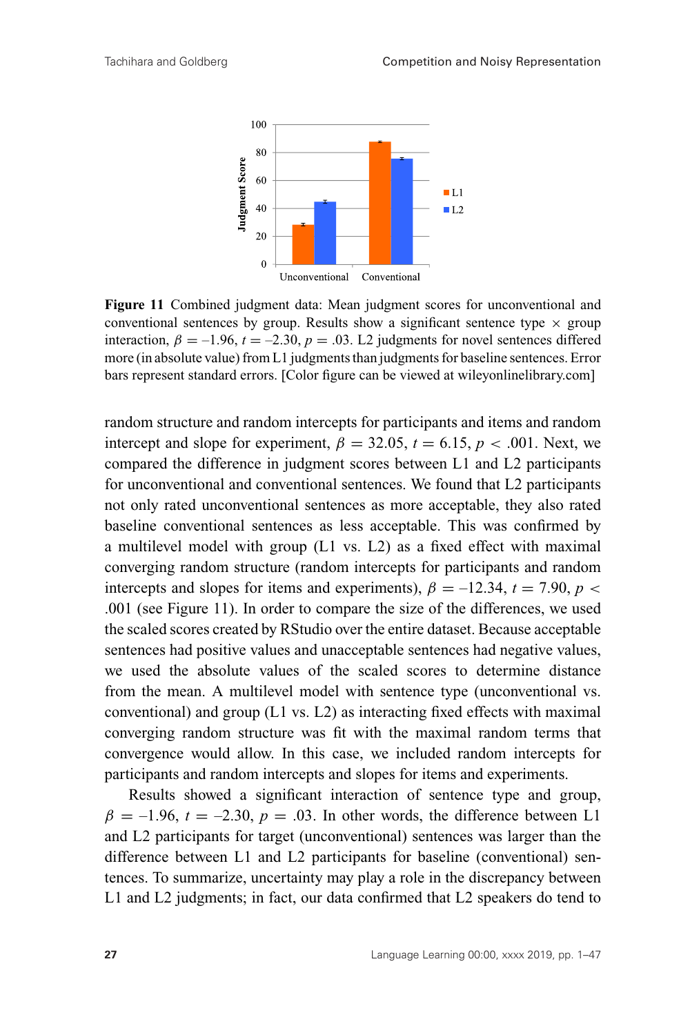

**Figure 11** Combined judgment data: Mean judgment scores for unconventional and conventional sentences by group. Results show a significant sentence type  $\times$  group interaction,  $\beta = -1.96$ ,  $t = -2.30$ ,  $p = .03$ . L2 judgments for novel sentences differed more (in absolute value) from L1 judgments than judgments for baseline sentences. Error bars represent standard errors. [Color figure can be viewed at wileyonlinelibrary.com]

random structure and random intercepts for participants and items and random intercept and slope for experiment,  $\beta = 32.05$ ,  $t = 6.15$ ,  $p < .001$ . Next, we compared the difference in judgment scores between L1 and L2 participants for unconventional and conventional sentences. We found that L2 participants not only rated unconventional sentences as more acceptable, they also rated baseline conventional sentences as less acceptable. This was confirmed by a multilevel model with group (L1 vs. L2) as a fixed effect with maximal converging random structure (random intercepts for participants and random intercepts and slopes for items and experiments),  $\beta = -12.34$ ,  $t = 7.90$ ,  $p <$ .001 (see Figure 11). In order to compare the size of the differences, we used the scaled scores created by RStudio over the entire dataset. Because acceptable sentences had positive values and unacceptable sentences had negative values, we used the absolute values of the scaled scores to determine distance from the mean. A multilevel model with sentence type (unconventional vs. conventional) and group (L1 vs. L2) as interacting fixed effects with maximal converging random structure was fit with the maximal random terms that convergence would allow. In this case, we included random intercepts for participants and random intercepts and slopes for items and experiments.

Results showed a significant interaction of sentence type and group,  $\beta = -1.96$ ,  $t = -2.30$ ,  $p = .03$ . In other words, the difference between L1 and L2 participants for target (unconventional) sentences was larger than the difference between L1 and L2 participants for baseline (conventional) sentences. To summarize, uncertainty may play a role in the discrepancy between L1 and L2 judgments; in fact, our data confirmed that L2 speakers do tend to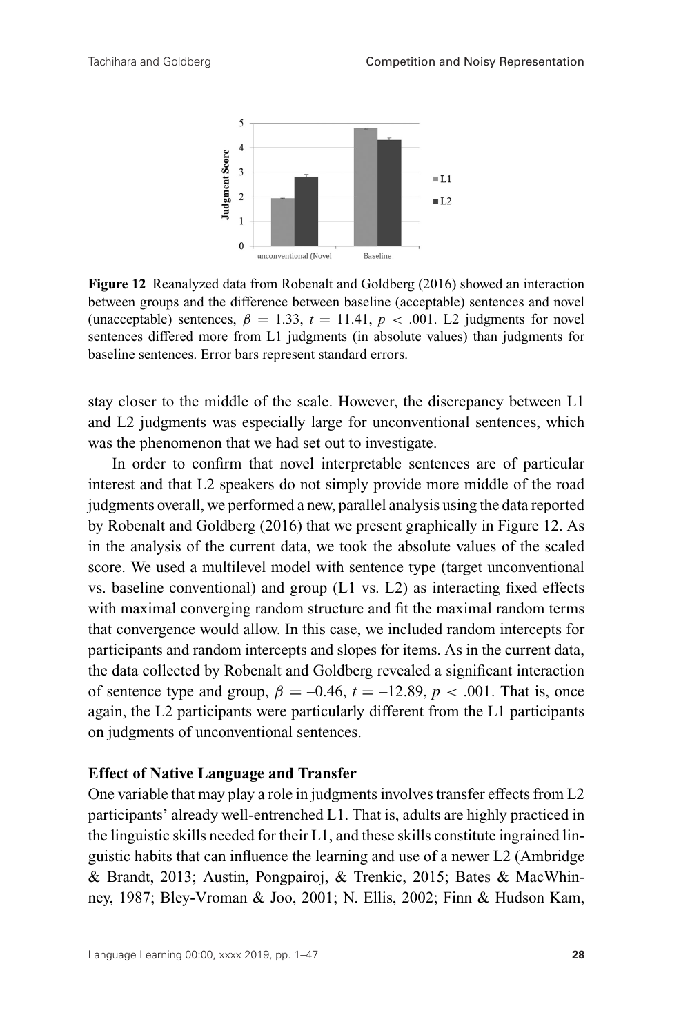

**Figure 12** Reanalyzed data from Robenalt and Goldberg (2016) showed an interaction between groups and the difference between baseline (acceptable) sentences and novel (unacceptable) sentences,  $\beta = 1.33$ ,  $t = 11.41$ ,  $p < .001$ . L2 judgments for novel sentences differed more from L1 judgments (in absolute values) than judgments for baseline sentences. Error bars represent standard errors.

stay closer to the middle of the scale. However, the discrepancy between L1 and L2 judgments was especially large for unconventional sentences, which was the phenomenon that we had set out to investigate.

In order to confirm that novel interpretable sentences are of particular interest and that L2 speakers do not simply provide more middle of the road judgments overall, we performed a new, parallel analysis using the data reported by Robenalt and Goldberg (2016) that we present graphically in Figure 12. As in the analysis of the current data, we took the absolute values of the scaled score. We used a multilevel model with sentence type (target unconventional vs. baseline conventional) and group (L1 vs. L2) as interacting fixed effects with maximal converging random structure and fit the maximal random terms that convergence would allow. In this case, we included random intercepts for participants and random intercepts and slopes for items. As in the current data, the data collected by Robenalt and Goldberg revealed a significant interaction of sentence type and group,  $\beta = -0.46$ ,  $t = -12.89$ ,  $p < .001$ . That is, once again, the L2 participants were particularly different from the L1 participants on judgments of unconventional sentences.

#### **Effect of Native Language and Transfer**

One variable that may play a role in judgments involves transfer effects from L2 participants' already well-entrenched L1. That is, adults are highly practiced in the linguistic skills needed for their L1, and these skills constitute ingrained linguistic habits that can influence the learning and use of a newer L2 (Ambridge & Brandt, 2013; Austin, Pongpairoj, & Trenkic, 2015; Bates & MacWhinney, 1987; Bley-Vroman & Joo, 2001; N. Ellis, 2002; Finn & Hudson Kam,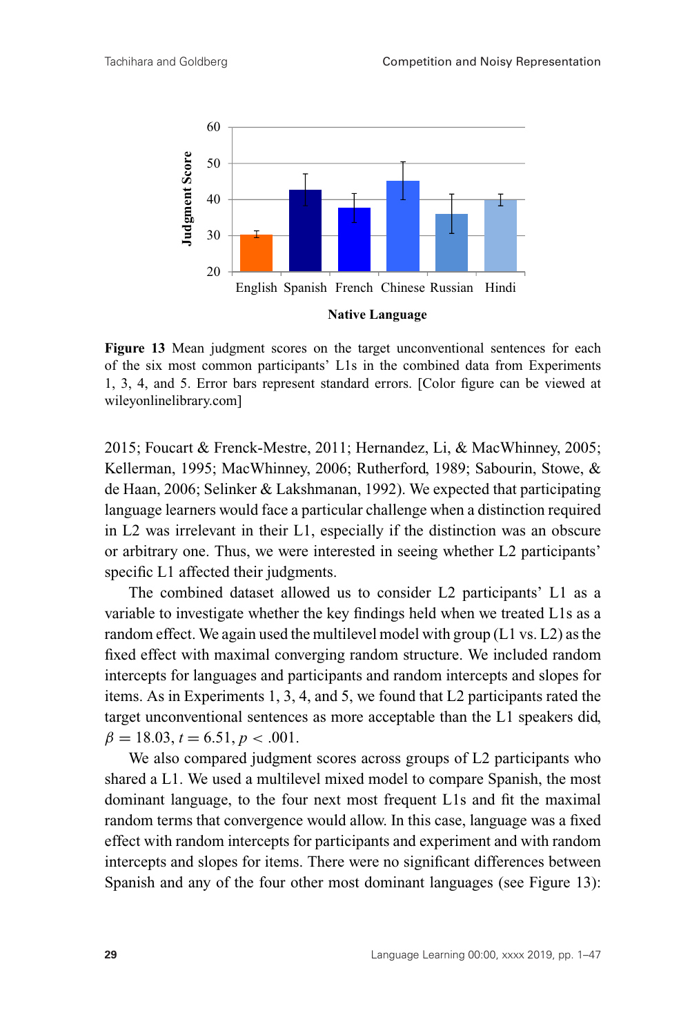

**Figure 13** Mean judgment scores on the target unconventional sentences for each of the six most common participants' L1s in the combined data from Experiments 1, 3, 4, and 5. Error bars represent standard errors. [Color figure can be viewed at wileyonlinelibrary.com]

2015; Foucart & Frenck-Mestre, 2011; Hernandez, Li, & MacWhinney, 2005; Kellerman, 1995; MacWhinney, 2006; Rutherford, 1989; Sabourin, Stowe, & de Haan, 2006; Selinker & Lakshmanan, 1992). We expected that participating language learners would face a particular challenge when a distinction required in L2 was irrelevant in their L1, especially if the distinction was an obscure or arbitrary one. Thus, we were interested in seeing whether L2 participants' specific L1 affected their judgments.

The combined dataset allowed us to consider L2 participants' L1 as a variable to investigate whether the key findings held when we treated L1s as a random effect. We again used the multilevel model with group (L1 vs. L2) as the fixed effect with maximal converging random structure. We included random intercepts for languages and participants and random intercepts and slopes for items. As in Experiments 1, 3, 4, and 5, we found that L2 participants rated the target unconventional sentences as more acceptable than the L1 speakers did,  $\beta = 18.03, t = 6.51, p < .001.$ 

We also compared judgment scores across groups of L2 participants who shared a L1. We used a multilevel mixed model to compare Spanish, the most dominant language, to the four next most frequent L1s and fit the maximal random terms that convergence would allow. In this case, language was a fixed effect with random intercepts for participants and experiment and with random intercepts and slopes for items. There were no significant differences between Spanish and any of the four other most dominant languages (see Figure 13):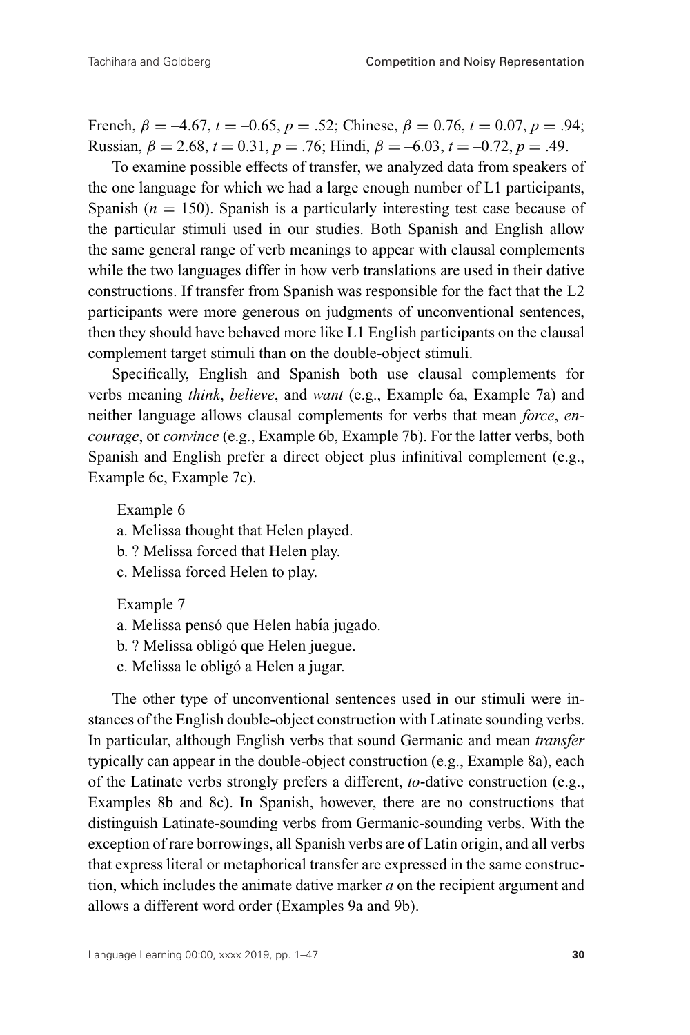French,  $\beta = -4.67$ ,  $t = -0.65$ ,  $p = .52$ ; Chinese,  $\beta = 0.76$ ,  $t = 0.07$ ,  $p = .94$ ; Russian,  $\beta = 2.68$ ,  $t = 0.31$ ,  $p = .76$ ; Hindi,  $\beta = -6.03$ ,  $t = -0.72$ ,  $p = .49$ .

To examine possible effects of transfer, we analyzed data from speakers of the one language for which we had a large enough number of L1 participants, Spanish  $(n = 150)$ . Spanish is a particularly interesting test case because of the particular stimuli used in our studies. Both Spanish and English allow the same general range of verb meanings to appear with clausal complements while the two languages differ in how verb translations are used in their dative constructions. If transfer from Spanish was responsible for the fact that the L2 participants were more generous on judgments of unconventional sentences, then they should have behaved more like L1 English participants on the clausal complement target stimuli than on the double-object stimuli.

Specifically, English and Spanish both use clausal complements for verbs meaning *think*, *believe*, and *want* (e.g., Example 6a, Example 7a) and neither language allows clausal complements for verbs that mean *force*, *encourage*, or *convince* (e.g., Example 6b, Example 7b). For the latter verbs, both Spanish and English prefer a direct object plus infinitival complement (e.g., Example 6c, Example 7c).

Example 6

- a. Melissa thought that Helen played.
- b. ? Melissa forced that Helen play.
- c. Melissa forced Helen to play.

Example 7

- a. Melissa pensó que Helen había jugado.
- b. ? Melissa obligó que Helen juegue.
- c. Melissa le obligó a Helen a jugar.

The other type of unconventional sentences used in our stimuli were instances of the English double-object construction with Latinate sounding verbs. In particular, although English verbs that sound Germanic and mean *transfer* typically can appear in the double-object construction (e.g., Example 8a), each of the Latinate verbs strongly prefers a different, *to*-dative construction (e.g., Examples 8b and 8c). In Spanish, however, there are no constructions that distinguish Latinate-sounding verbs from Germanic-sounding verbs. With the exception of rare borrowings, all Spanish verbs are of Latin origin, and all verbs that express literal or metaphorical transfer are expressed in the same construction, which includes the animate dative marker *a* on the recipient argument and allows a different word order (Examples 9a and 9b).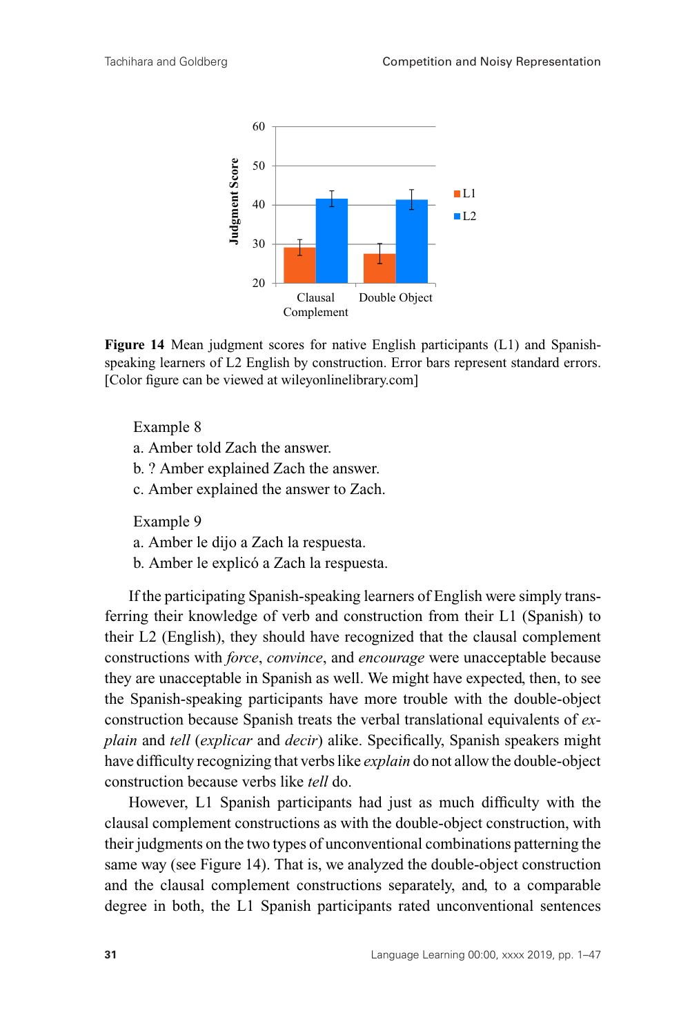

**Figure 14** Mean judgment scores for native English participants (L1) and Spanishspeaking learners of L2 English by construction. Error bars represent standard errors. [Color figure can be viewed at wileyonlinelibrary.com]

- Example 8
- a. Amber told Zach the answer.
- b. ? Amber explained Zach the answer.
- c. Amber explained the answer to Zach.

Example 9

- a. Amber le dijo a Zach la respuesta.
- b. Amber le explicó a Zach la respuesta.

If the participating Spanish-speaking learners of English were simply transferring their knowledge of verb and construction from their L1 (Spanish) to their L2 (English), they should have recognized that the clausal complement constructions with *force*, *convince*, and *encourage* were unacceptable because they are unacceptable in Spanish as well. We might have expected, then, to see the Spanish-speaking participants have more trouble with the double-object construction because Spanish treats the verbal translational equivalents of *explain* and *tell* (*explicar* and *decir*) alike. Specifically, Spanish speakers might have difficulty recognizing that verbs like *explain* do not allow the double-object construction because verbs like *tell* do.

However, L1 Spanish participants had just as much difficulty with the clausal complement constructions as with the double-object construction, with their judgments on the two types of unconventional combinations patterning the same way (see Figure 14). That is, we analyzed the double-object construction and the clausal complement constructions separately, and, to a comparable degree in both, the L1 Spanish participants rated unconventional sentences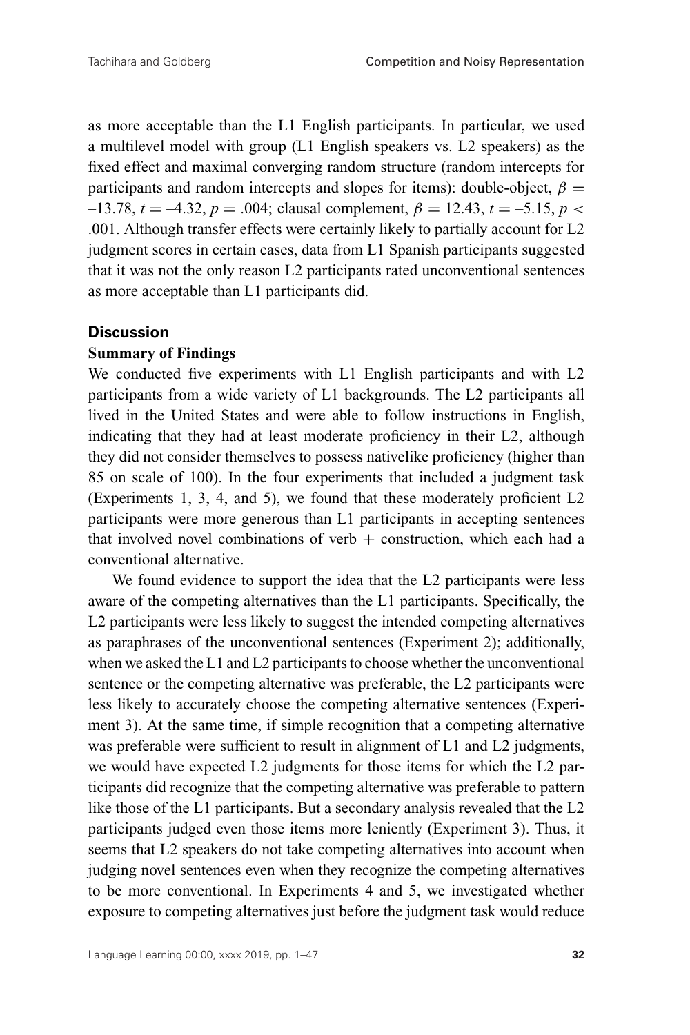as more acceptable than the L1 English participants. In particular, we used a multilevel model with group (L1 English speakers vs. L2 speakers) as the fixed effect and maximal converging random structure (random intercepts for participants and random intercepts and slopes for items): double-object,  $\beta$  =  $-13.78$ ,  $t = -4.32$ ,  $p = .004$ ; clausal complement,  $\beta = 12.43$ ,  $t = -5.15$ ,  $p <$ .001. Although transfer effects were certainly likely to partially account for L2 judgment scores in certain cases, data from L1 Spanish participants suggested that it was not the only reason L2 participants rated unconventional sentences as more acceptable than L1 participants did.

#### **Discussion**

#### **Summary of Findings**

We conducted five experiments with L1 English participants and with L2 participants from a wide variety of L1 backgrounds. The L2 participants all lived in the United States and were able to follow instructions in English, indicating that they had at least moderate proficiency in their L2, although they did not consider themselves to possess nativelike proficiency (higher than 85 on scale of 100). In the four experiments that included a judgment task (Experiments 1, 3, 4, and 5), we found that these moderately proficient L2 participants were more generous than L1 participants in accepting sentences that involved novel combinations of verb  $+$  construction, which each had a conventional alternative.

We found evidence to support the idea that the L2 participants were less aware of the competing alternatives than the L1 participants. Specifically, the L2 participants were less likely to suggest the intended competing alternatives as paraphrases of the unconventional sentences (Experiment 2); additionally, when we asked the L1 and L2 participants to choose whether the unconventional sentence or the competing alternative was preferable, the L2 participants were less likely to accurately choose the competing alternative sentences (Experiment 3). At the same time, if simple recognition that a competing alternative was preferable were sufficient to result in alignment of L1 and L2 judgments, we would have expected L2 judgments for those items for which the L2 participants did recognize that the competing alternative was preferable to pattern like those of the L1 participants. But a secondary analysis revealed that the L2 participants judged even those items more leniently (Experiment 3). Thus, it seems that L2 speakers do not take competing alternatives into account when judging novel sentences even when they recognize the competing alternatives to be more conventional. In Experiments 4 and 5, we investigated whether exposure to competing alternatives just before the judgment task would reduce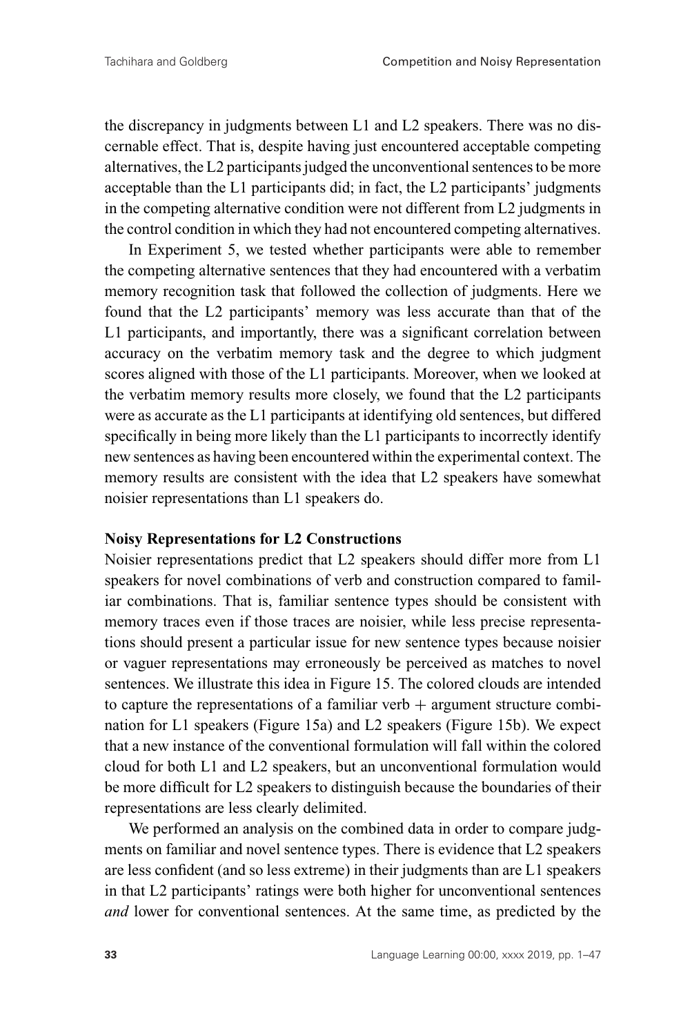the discrepancy in judgments between L1 and L2 speakers. There was no discernable effect. That is, despite having just encountered acceptable competing alternatives, the L2 participants judged the unconventional sentences to be more acceptable than the L1 participants did; in fact, the L2 participants' judgments in the competing alternative condition were not different from L2 judgments in the control condition in which they had not encountered competing alternatives.

In Experiment 5, we tested whether participants were able to remember the competing alternative sentences that they had encountered with a verbatim memory recognition task that followed the collection of judgments. Here we found that the L2 participants' memory was less accurate than that of the L1 participants, and importantly, there was a significant correlation between accuracy on the verbatim memory task and the degree to which judgment scores aligned with those of the L1 participants. Moreover, when we looked at the verbatim memory results more closely, we found that the L2 participants were as accurate as the L1 participants at identifying old sentences, but differed specifically in being more likely than the L1 participants to incorrectly identify new sentences as having been encountered within the experimental context. The memory results are consistent with the idea that L2 speakers have somewhat noisier representations than L1 speakers do.

#### **Noisy Representations for L2 Constructions**

Noisier representations predict that L2 speakers should differ more from L1 speakers for novel combinations of verb and construction compared to familiar combinations. That is, familiar sentence types should be consistent with memory traces even if those traces are noisier, while less precise representations should present a particular issue for new sentence types because noisier or vaguer representations may erroneously be perceived as matches to novel sentences. We illustrate this idea in Figure 15. The colored clouds are intended to capture the representations of a familiar verb  $+$  argument structure combination for L1 speakers (Figure 15a) and L2 speakers (Figure 15b). We expect that a new instance of the conventional formulation will fall within the colored cloud for both L1 and L2 speakers, but an unconventional formulation would be more difficult for L2 speakers to distinguish because the boundaries of their representations are less clearly delimited.

We performed an analysis on the combined data in order to compare judgments on familiar and novel sentence types. There is evidence that L2 speakers are less confident (and so less extreme) in their judgments than are L1 speakers in that L2 participants' ratings were both higher for unconventional sentences *and* lower for conventional sentences. At the same time, as predicted by the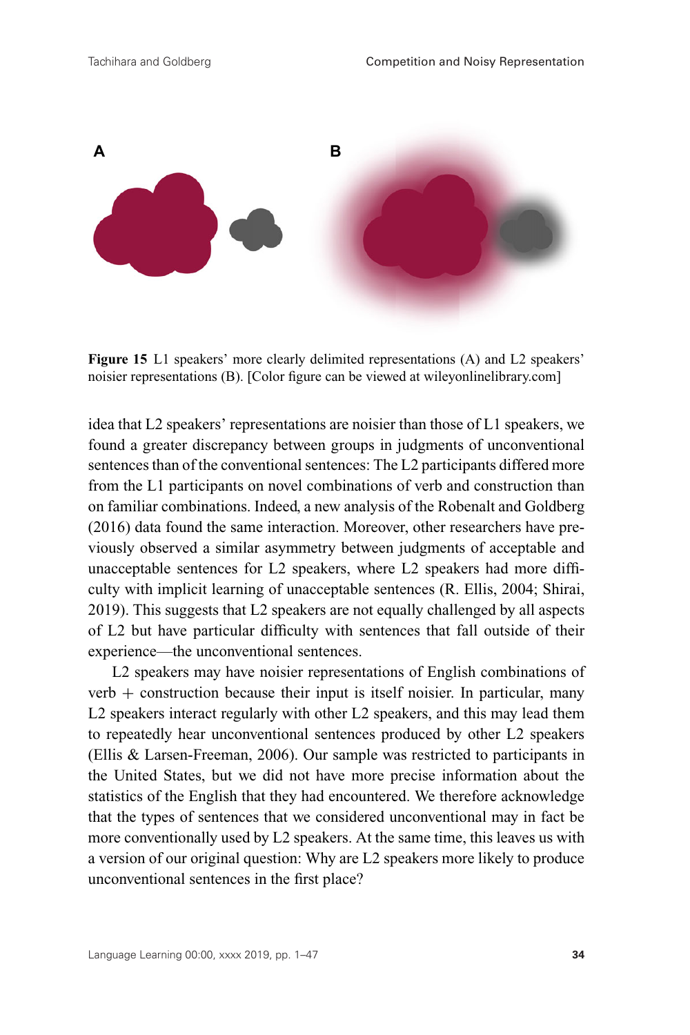

**Figure 15** L1 speakers' more clearly delimited representations (A) and L2 speakers' noisier representations (B). [Color figure can be viewed at wileyonlinelibrary.com]

idea that L2 speakers' representations are noisier than those of L1 speakers, we found a greater discrepancy between groups in judgments of unconventional sentences than of the conventional sentences: The L2 participants differed more from the L1 participants on novel combinations of verb and construction than on familiar combinations. Indeed, a new analysis of the Robenalt and Goldberg (2016) data found the same interaction. Moreover, other researchers have previously observed a similar asymmetry between judgments of acceptable and unacceptable sentences for L2 speakers, where L2 speakers had more difficulty with implicit learning of unacceptable sentences (R. Ellis, 2004; Shirai, 2019). This suggests that L2 speakers are not equally challenged by all aspects of L2 but have particular difficulty with sentences that fall outside of their experience—the unconventional sentences.

L2 speakers may have noisier representations of English combinations of  $verb + construction because their input is itself noisier. In particular, many$ L2 speakers interact regularly with other L2 speakers, and this may lead them to repeatedly hear unconventional sentences produced by other L2 speakers (Ellis & Larsen-Freeman, 2006). Our sample was restricted to participants in the United States, but we did not have more precise information about the statistics of the English that they had encountered. We therefore acknowledge that the types of sentences that we considered unconventional may in fact be more conventionally used by L2 speakers. At the same time, this leaves us with a version of our original question: Why are L2 speakers more likely to produce unconventional sentences in the first place?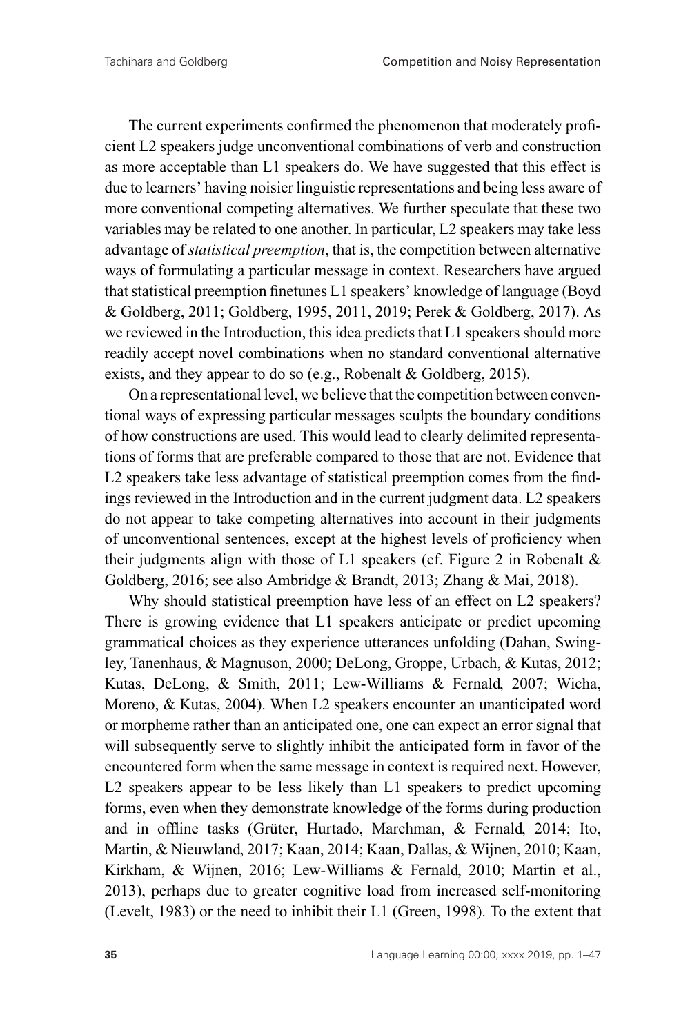The current experiments confirmed the phenomenon that moderately proficient L2 speakers judge unconventional combinations of verb and construction as more acceptable than L1 speakers do. We have suggested that this effect is due to learners' having noisier linguistic representations and being less aware of more conventional competing alternatives. We further speculate that these two variables may be related to one another. In particular, L2 speakers may take less advantage of *statistical preemption*, that is, the competition between alternative ways of formulating a particular message in context. Researchers have argued that statistical preemption finetunes L1 speakers' knowledge of language (Boyd & Goldberg, 2011; Goldberg, 1995, 2011, 2019; Perek & Goldberg, 2017). As we reviewed in the Introduction, this idea predicts that L1 speakers should more readily accept novel combinations when no standard conventional alternative exists, and they appear to do so (e.g., Robenalt & Goldberg, 2015).

On a representational level, we believe that the competition between conventional ways of expressing particular messages sculpts the boundary conditions of how constructions are used. This would lead to clearly delimited representations of forms that are preferable compared to those that are not. Evidence that L2 speakers take less advantage of statistical preemption comes from the findings reviewed in the Introduction and in the current judgment data. L2 speakers do not appear to take competing alternatives into account in their judgments of unconventional sentences, except at the highest levels of proficiency when their judgments align with those of L1 speakers (cf. Figure 2 in Robenalt  $\&$ Goldberg, 2016; see also Ambridge & Brandt, 2013; Zhang & Mai, 2018).

Why should statistical preemption have less of an effect on L2 speakers? There is growing evidence that L1 speakers anticipate or predict upcoming grammatical choices as they experience utterances unfolding (Dahan, Swingley, Tanenhaus, & Magnuson, 2000; DeLong, Groppe, Urbach, & Kutas, 2012; Kutas, DeLong, & Smith, 2011; Lew-Williams & Fernald, 2007; Wicha, Moreno, & Kutas, 2004). When L2 speakers encounter an unanticipated word or morpheme rather than an anticipated one, one can expect an error signal that will subsequently serve to slightly inhibit the anticipated form in favor of the encountered form when the same message in context is required next. However, L2 speakers appear to be less likely than L1 speakers to predict upcoming forms, even when they demonstrate knowledge of the forms during production and in offline tasks (Grüter, Hurtado, Marchman, & Fernald, 2014; Ito, Martin, & Nieuwland, 2017; Kaan, 2014; Kaan, Dallas, & Wijnen, 2010; Kaan, Kirkham, & Wijnen, 2016; Lew-Williams & Fernald, 2010; Martin et al., 2013), perhaps due to greater cognitive load from increased self-monitoring (Levelt, 1983) or the need to inhibit their L1 (Green, 1998). To the extent that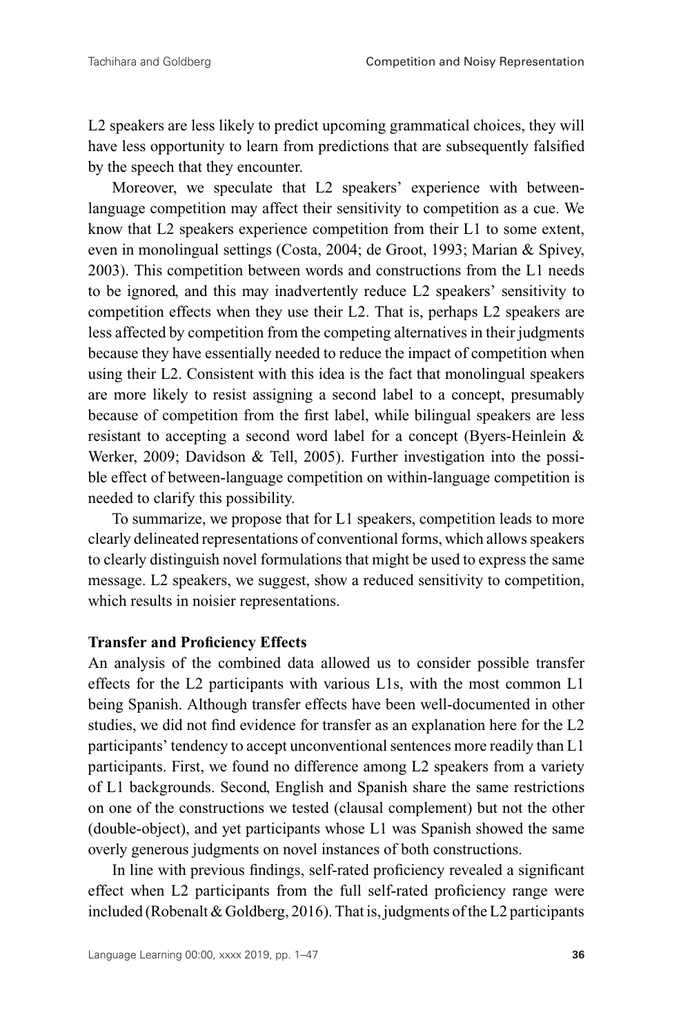L2 speakers are less likely to predict upcoming grammatical choices, they will have less opportunity to learn from predictions that are subsequently falsified by the speech that they encounter.

Moreover, we speculate that L2 speakers' experience with betweenlanguage competition may affect their sensitivity to competition as a cue. We know that L2 speakers experience competition from their L1 to some extent, even in monolingual settings (Costa, 2004; de Groot, 1993; Marian & Spivey, 2003). This competition between words and constructions from the L1 needs to be ignored, and this may inadvertently reduce L2 speakers' sensitivity to competition effects when they use their L2. That is, perhaps L2 speakers are less affected by competition from the competing alternatives in their judgments because they have essentially needed to reduce the impact of competition when using their L2. Consistent with this idea is the fact that monolingual speakers are more likely to resist assigning a second label to a concept, presumably because of competition from the first label, while bilingual speakers are less resistant to accepting a second word label for a concept (Byers-Heinlein & Werker, 2009; Davidson & Tell, 2005). Further investigation into the possible effect of between-language competition on within-language competition is needed to clarify this possibility.

To summarize, we propose that for L1 speakers, competition leads to more clearly delineated representations of conventional forms, which allows speakers to clearly distinguish novel formulations that might be used to express the same message. L2 speakers, we suggest, show a reduced sensitivity to competition, which results in noisier representations.

#### **Transfer and Proficiency Effects**

An analysis of the combined data allowed us to consider possible transfer effects for the L2 participants with various L1s, with the most common L1 being Spanish. Although transfer effects have been well-documented in other studies, we did not find evidence for transfer as an explanation here for the L2 participants' tendency to accept unconventional sentences more readily than L1 participants. First, we found no difference among L2 speakers from a variety of L1 backgrounds. Second, English and Spanish share the same restrictions on one of the constructions we tested (clausal complement) but not the other (double-object), and yet participants whose L1 was Spanish showed the same overly generous judgments on novel instances of both constructions.

In line with previous findings, self-rated proficiency revealed a significant effect when L2 participants from the full self-rated proficiency range were included (Robenalt & Goldberg, 2016). That is, judgments of the L2 participants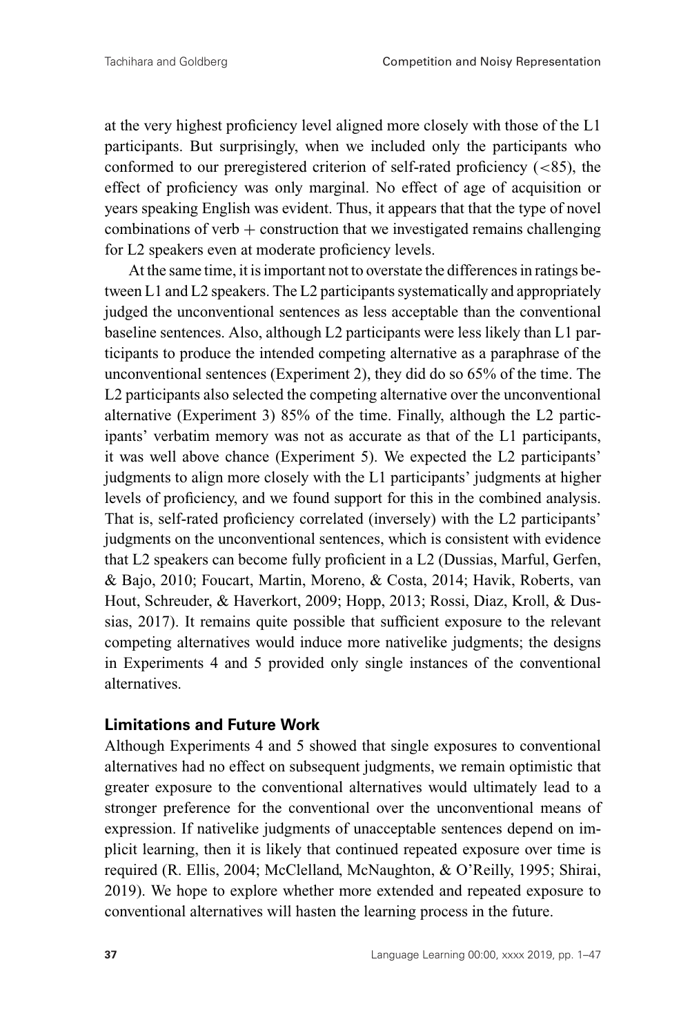at the very highest proficiency level aligned more closely with those of the L1 participants. But surprisingly, when we included only the participants who conformed to our preregistered criterion of self-rated proficiency  $(< 85)$ , the effect of proficiency was only marginal. No effect of age of acquisition or years speaking English was evident. Thus, it appears that that the type of novel combinations of verb  $+$  construction that we investigated remains challenging for L2 speakers even at moderate proficiency levels.

At the same time, it is important not to overstate the differences in ratings between L1 and L2 speakers. The L2 participants systematically and appropriately judged the unconventional sentences as less acceptable than the conventional baseline sentences. Also, although L2 participants were less likely than L1 participants to produce the intended competing alternative as a paraphrase of the unconventional sentences (Experiment 2), they did do so 65% of the time. The L2 participants also selected the competing alternative over the unconventional alternative (Experiment 3) 85% of the time. Finally, although the L2 participants' verbatim memory was not as accurate as that of the L1 participants, it was well above chance (Experiment 5). We expected the L2 participants' judgments to align more closely with the L1 participants' judgments at higher levels of proficiency, and we found support for this in the combined analysis. That is, self-rated proficiency correlated (inversely) with the L2 participants' judgments on the unconventional sentences, which is consistent with evidence that L2 speakers can become fully proficient in a L2 (Dussias, Marful, Gerfen, & Bajo, 2010; Foucart, Martin, Moreno, & Costa, 2014; Havik, Roberts, van Hout, Schreuder, & Haverkort, 2009; Hopp, 2013; Rossi, Diaz, Kroll, & Dussias, 2017). It remains quite possible that sufficient exposure to the relevant competing alternatives would induce more nativelike judgments; the designs in Experiments 4 and 5 provided only single instances of the conventional alternatives.

#### **Limitations and Future Work**

Although Experiments 4 and 5 showed that single exposures to conventional alternatives had no effect on subsequent judgments, we remain optimistic that greater exposure to the conventional alternatives would ultimately lead to a stronger preference for the conventional over the unconventional means of expression. If nativelike judgments of unacceptable sentences depend on implicit learning, then it is likely that continued repeated exposure over time is required (R. Ellis, 2004; McClelland, McNaughton, & O'Reilly, 1995; Shirai, 2019). We hope to explore whether more extended and repeated exposure to conventional alternatives will hasten the learning process in the future.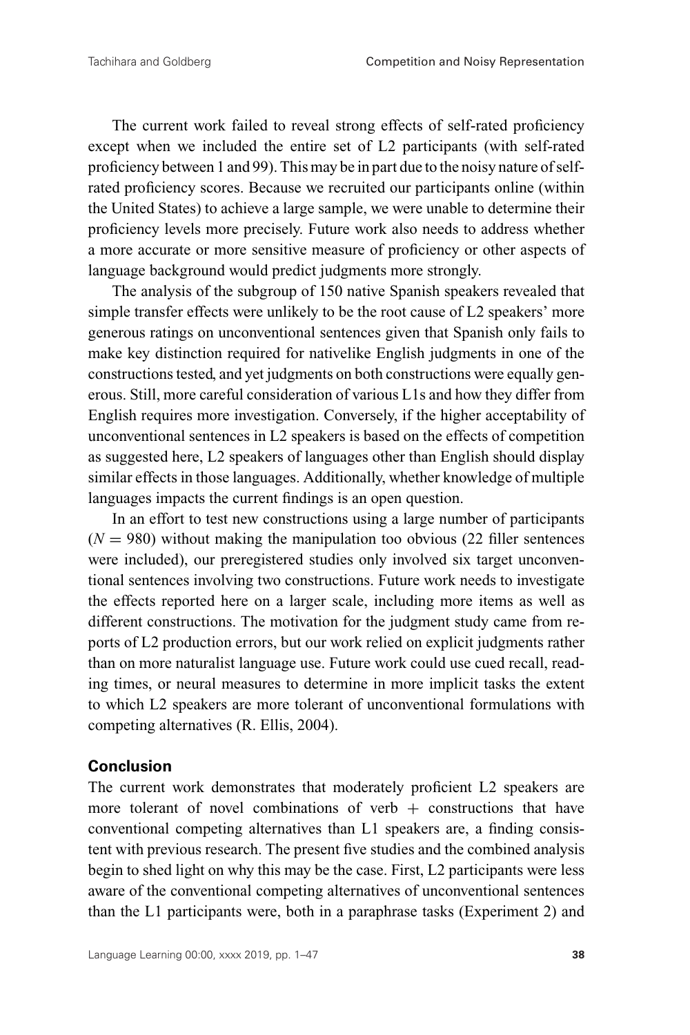The current work failed to reveal strong effects of self-rated proficiency except when we included the entire set of L2 participants (with self-rated proficiency between 1 and 99). This may be in part due to the noisy nature of selfrated proficiency scores. Because we recruited our participants online (within the United States) to achieve a large sample, we were unable to determine their proficiency levels more precisely. Future work also needs to address whether a more accurate or more sensitive measure of proficiency or other aspects of language background would predict judgments more strongly.

The analysis of the subgroup of 150 native Spanish speakers revealed that simple transfer effects were unlikely to be the root cause of L2 speakers' more generous ratings on unconventional sentences given that Spanish only fails to make key distinction required for nativelike English judgments in one of the constructions tested, and yet judgments on both constructions were equally generous. Still, more careful consideration of various L1s and how they differ from English requires more investigation. Conversely, if the higher acceptability of unconventional sentences in L2 speakers is based on the effects of competition as suggested here, L2 speakers of languages other than English should display similar effects in those languages. Additionally, whether knowledge of multiple languages impacts the current findings is an open question.

In an effort to test new constructions using a large number of participants  $(N = 980)$  without making the manipulation too obvious (22 filler sentences were included), our preregistered studies only involved six target unconventional sentences involving two constructions. Future work needs to investigate the effects reported here on a larger scale, including more items as well as different constructions. The motivation for the judgment study came from reports of L2 production errors, but our work relied on explicit judgments rather than on more naturalist language use. Future work could use cued recall, reading times, or neural measures to determine in more implicit tasks the extent to which L2 speakers are more tolerant of unconventional formulations with competing alternatives (R. Ellis, 2004).

## **Conclusion**

The current work demonstrates that moderately proficient L2 speakers are more tolerant of novel combinations of verb  $+$  constructions that have conventional competing alternatives than L1 speakers are, a finding consistent with previous research. The present five studies and the combined analysis begin to shed light on why this may be the case. First, L2 participants were less aware of the conventional competing alternatives of unconventional sentences than the L1 participants were, both in a paraphrase tasks (Experiment 2) and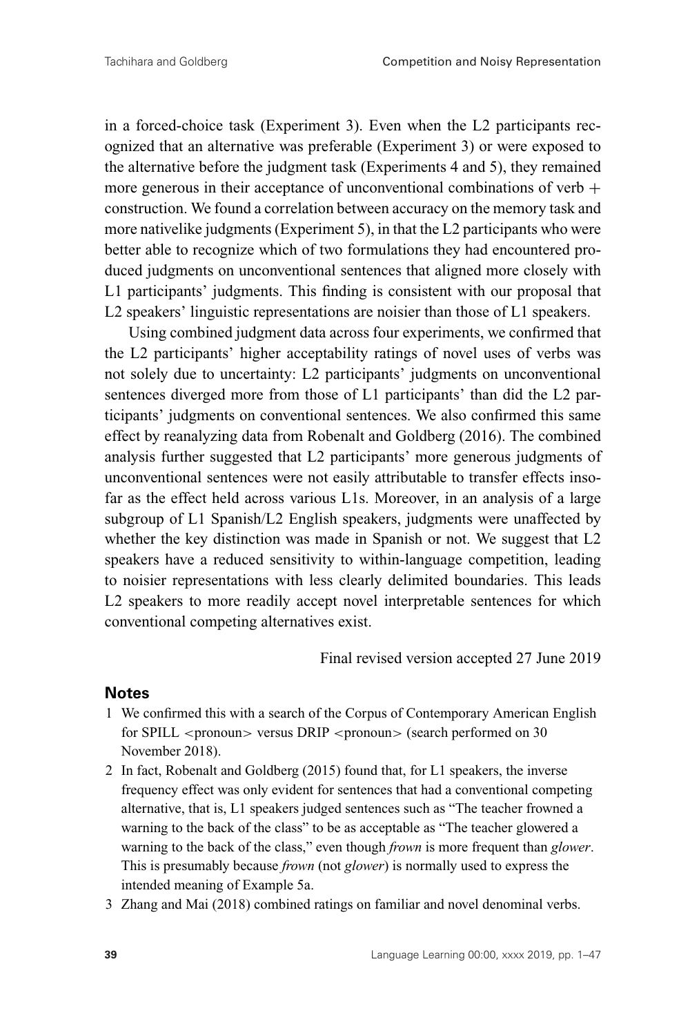in a forced-choice task (Experiment 3). Even when the L2 participants recognized that an alternative was preferable (Experiment 3) or were exposed to the alternative before the judgment task (Experiments 4 and 5), they remained more generous in their acceptance of unconventional combinations of verb  $+$ construction. We found a correlation between accuracy on the memory task and more nativelike judgments (Experiment 5), in that the L2 participants who were better able to recognize which of two formulations they had encountered produced judgments on unconventional sentences that aligned more closely with L1 participants' judgments. This finding is consistent with our proposal that L2 speakers' linguistic representations are noisier than those of L1 speakers.

Using combined judgment data across four experiments, we confirmed that the L2 participants' higher acceptability ratings of novel uses of verbs was not solely due to uncertainty: L2 participants' judgments on unconventional sentences diverged more from those of L1 participants' than did the L2 participants' judgments on conventional sentences. We also confirmed this same effect by reanalyzing data from Robenalt and Goldberg (2016). The combined analysis further suggested that L2 participants' more generous judgments of unconventional sentences were not easily attributable to transfer effects insofar as the effect held across various L1s. Moreover, in an analysis of a large subgroup of L1 Spanish/L2 English speakers, judgments were unaffected by whether the key distinction was made in Spanish or not. We suggest that L2 speakers have a reduced sensitivity to within-language competition, leading to noisier representations with less clearly delimited boundaries. This leads L2 speakers to more readily accept novel interpretable sentences for which conventional competing alternatives exist.

Final revised version accepted 27 June 2019

#### **Notes**

- 1 We confirmed this with a search of the Corpus of Contemporary American English for SPILL <pronoun> versus DRIP <pronoun> (search performed on 30 November 2018).
- 2 In fact, Robenalt and Goldberg (2015) found that, for L1 speakers, the inverse frequency effect was only evident for sentences that had a conventional competing alternative, that is, L1 speakers judged sentences such as "The teacher frowned a warning to the back of the class" to be as acceptable as "The teacher glowered a warning to the back of the class," even though *frown* is more frequent than *glower*. This is presumably because *frown* (not *glower*) is normally used to express the intended meaning of Example 5a.
- 3 Zhang and Mai (2018) combined ratings on familiar and novel denominal verbs.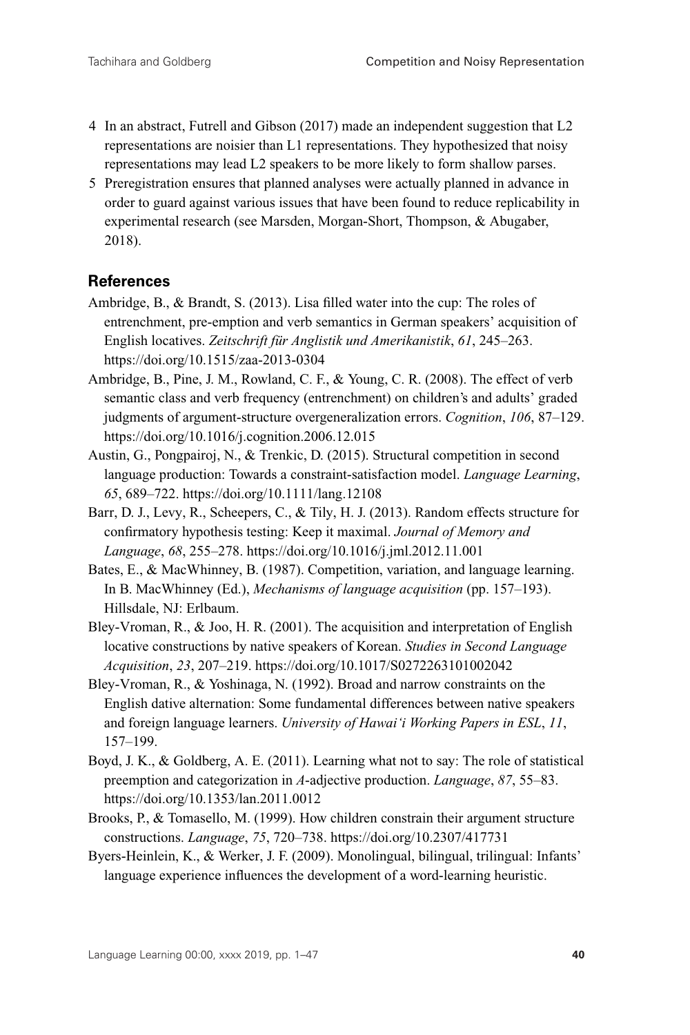- 4 In an abstract, Futrell and Gibson (2017) made an independent suggestion that L2 representations are noisier than L1 representations. They hypothesized that noisy representations may lead L2 speakers to be more likely to form shallow parses.
- 5 Preregistration ensures that planned analyses were actually planned in advance in order to guard against various issues that have been found to reduce replicability in experimental research (see Marsden, Morgan-Short, Thompson, & Abugaber, 2018).

#### **References**

- Ambridge, B., & Brandt, S. (2013). Lisa filled water into the cup: The roles of entrenchment, pre-emption and verb semantics in German speakers' acquisition of English locatives. Zeitschrift für Anglistik und Amerikanistik, 61, 245–263. https://doi.org/10.1515/zaa-2013-0304
- Ambridge, B., Pine, J. M., Rowland, C. F., & Young, C. R. (2008). The effect of verb semantic class and verb frequency (entrenchment) on children's and adults' graded judgments of argument-structure overgeneralization errors. *Cognition*, *106*, 87–129. https://doi.org/10.1016/j.cognition.2006.12.015
- Austin, G., Pongpairoj, N., & Trenkic, D. (2015). Structural competition in second language production: Towards a constraint-satisfaction model. *Language Learning*, *65*, 689–722. https://doi.org/10.1111/lang.12108
- Barr, D. J., Levy, R., Scheepers, C., & Tily, H. J. (2013). Random effects structure for confirmatory hypothesis testing: Keep it maximal. *Journal of Memory and Language*, *68*, 255–278. https://doi.org/10.1016/j.jml.2012.11.001
- Bates, E., & MacWhinney, B. (1987). Competition, variation, and language learning. In B. MacWhinney (Ed.), *Mechanisms of language acquisition* (pp. 157–193). Hillsdale, NJ: Erlbaum.
- Bley-Vroman, R., & Joo, H. R. (2001). The acquisition and interpretation of English locative constructions by native speakers of Korean. *Studies in Second Language Acquisition*, *23*, 207–219. https://doi.org/10.1017/S0272263101002042
- Bley-Vroman, R., & Yoshinaga, N. (1992). Broad and narrow constraints on the English dative alternation: Some fundamental differences between native speakers and foreign language learners. *University of Hawai'i Working Papers in ESL*, *11*, 157–199.
- Boyd, J. K., & Goldberg, A. E. (2011). Learning what not to say: The role of statistical preemption and categorization in *A*-adjective production. *Language*, *87*, 55–83. https://doi.org/10.1353/lan.2011.0012
- Brooks, P., & Tomasello, M. (1999). How children constrain their argument structure constructions. *Language*, *75*, 720–738. https://doi.org/10.2307/417731
- Byers-Heinlein, K., & Werker, J. F. (2009). Monolingual, bilingual, trilingual: Infants' language experience influences the development of a word-learning heuristic.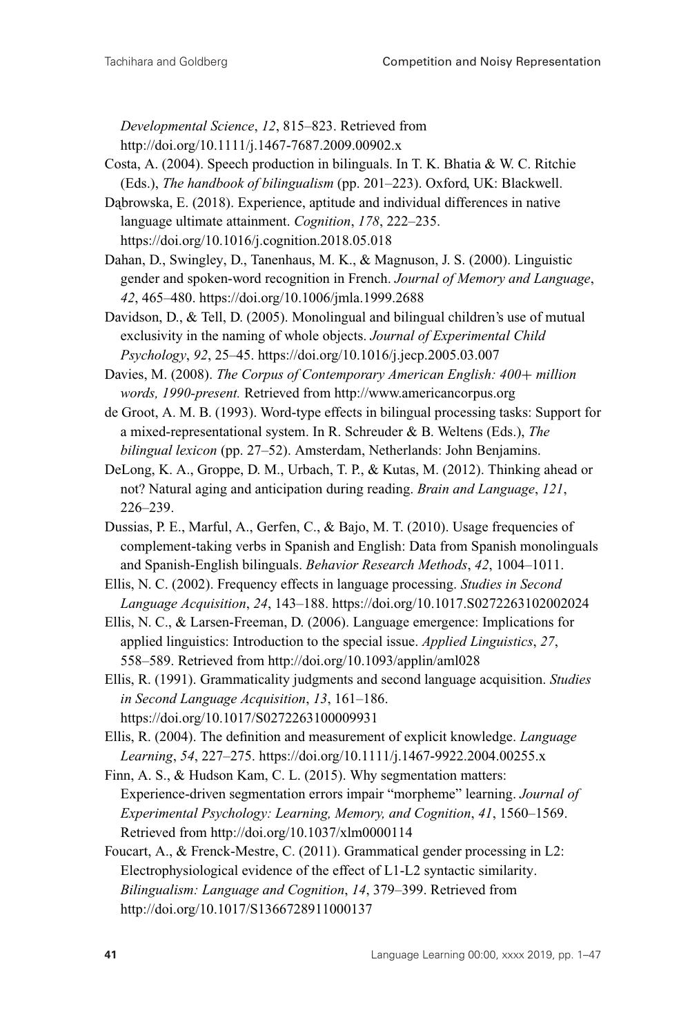*Developmental Science*, *12*, 815–823. Retrieved from http://doi.org/10.1111/j.1467-7687.2009.00902.x

Costa, A. (2004). Speech production in bilinguals. In T. K. Bhatia & W. C. Ritchie (Eds.), *The handbook of bilingualism* (pp. 201–223). Oxford, UK: Blackwell.

Dabrowska, E. (2018). Experience, aptitude and individual differences in native language ultimate attainment. *Cognition*, *178*, 222–235. https://doi.org/10.1016/j.cognition.2018.05.018

Dahan, D., Swingley, D., Tanenhaus, M. K., & Magnuson, J. S. (2000). Linguistic gender and spoken-word recognition in French. *Journal of Memory and Language*, *42*, 465–480. https://doi.org/10.1006/jmla.1999.2688

Davidson, D., & Tell, D. (2005). Monolingual and bilingual children's use of mutual exclusivity in the naming of whole objects. *Journal of Experimental Child Psychology*, *92*, 25–45. https://doi.org/10.1016/j.jecp.2005.03.007

Davies, M. (2008). *The Corpus of Contemporary American English: 400*+ *million words, 1990-present.* Retrieved from http://www.americancorpus.org

de Groot, A. M. B. (1993). Word-type effects in bilingual processing tasks: Support for a mixed-representational system. In R. Schreuder & B. Weltens (Eds.), *The bilingual lexicon* (pp. 27–52). Amsterdam, Netherlands: John Benjamins.

- DeLong, K. A., Groppe, D. M., Urbach, T. P., & Kutas, M. (2012). Thinking ahead or not? Natural aging and anticipation during reading. *Brain and Language*, *121*, 226–239.
- Dussias, P. E., Marful, A., Gerfen, C., & Bajo, M. T. (2010). Usage frequencies of complement-taking verbs in Spanish and English: Data from Spanish monolinguals and Spanish-English bilinguals. *Behavior Research Methods*, *42*, 1004–1011.

Ellis, N. C. (2002). Frequency effects in language processing. *Studies in Second Language Acquisition*, *24*, 143–188. https://doi.org/10.1017.S0272263102002024

Ellis, N. C., & Larsen-Freeman, D. (2006). Language emergence: Implications for applied linguistics: Introduction to the special issue. *Applied Linguistics*, *27*, 558–589. Retrieved from http://doi.org/10.1093/applin/aml028

Ellis, R. (1991). Grammaticality judgments and second language acquisition. *Studies in Second Language Acquisition*, *13*, 161–186. https://doi.org/10.1017/S0272263100009931

Ellis, R. (2004). The definition and measurement of explicit knowledge. *Language Learning*, *54*, 227–275. https://doi.org/10.1111/j.1467-9922.2004.00255.x

Finn, A. S., & Hudson Kam, C. L. (2015). Why segmentation matters: Experience-driven segmentation errors impair "morpheme" learning. *Journal of Experimental Psychology: Learning, Memory, and Cognition*, *41*, 1560–1569. Retrieved from http://doi.org/10.1037/xlm0000114

Foucart, A., & Frenck-Mestre, C. (2011). Grammatical gender processing in L2: Electrophysiological evidence of the effect of L1-L2 syntactic similarity. *Bilingualism: Language and Cognition*, *14*, 379–399. Retrieved from http://doi.org/10.1017/S1366728911000137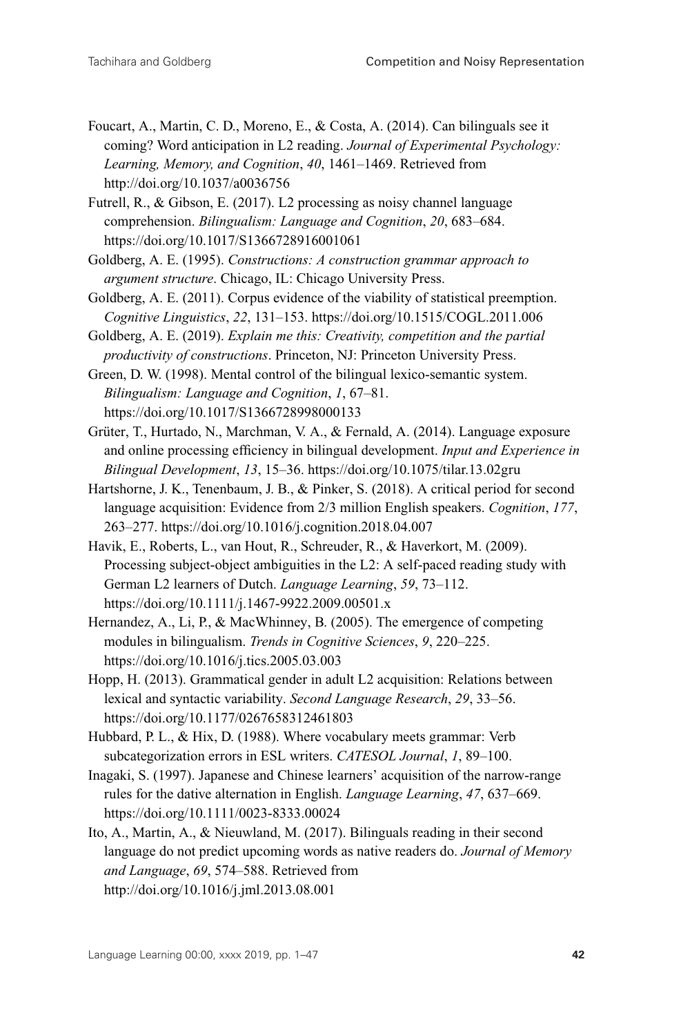Foucart, A., Martin, C. D., Moreno, E., & Costa, A. (2014). Can bilinguals see it coming? Word anticipation in L2 reading. *Journal of Experimental Psychology: Learning, Memory, and Cognition*, *40*, 1461–1469. Retrieved from http://doi.org/10.1037/a0036756

Futrell, R., & Gibson, E. (2017). L2 processing as noisy channel language comprehension. *Bilingualism: Language and Cognition*, *20*, 683–684. https://doi.org/10.1017/S1366728916001061

Goldberg, A. E. (1995). *Constructions: A construction grammar approach to argument structure*. Chicago, IL: Chicago University Press.

Goldberg, A. E. (2011). Corpus evidence of the viability of statistical preemption. *Cognitive Linguistics*, *22*, 131–153. https://doi.org/10.1515/COGL.2011.006

Goldberg, A. E. (2019). *Explain me this: Creativity, competition and the partial productivity of constructions*. Princeton, NJ: Princeton University Press.

Green, D. W. (1998). Mental control of the bilingual lexico-semantic system. *Bilingualism: Language and Cognition*, *1*, 67–81. https://doi.org/10.1017/S1366728998000133

Grüter, T., Hurtado, N., Marchman, V. A., & Fernald, A. (2014). Language exposure and online processing efficiency in bilingual development. *Input and Experience in Bilingual Development*, *13*, 15–36. https://doi.org/10.1075/tilar.13.02gru

Hartshorne, J. K., Tenenbaum, J. B., & Pinker, S. (2018). A critical period for second language acquisition: Evidence from 2/3 million English speakers. *Cognition*, *177*, 263–277. https://doi.org/10.1016/j.cognition.2018.04.007

Havik, E., Roberts, L., van Hout, R., Schreuder, R., & Haverkort, M. (2009). Processing subject-object ambiguities in the L2: A self-paced reading study with German L2 learners of Dutch. *Language Learning*, *59*, 73–112. https://doi.org/10.1111/j.1467-9922.2009.00501.x

Hernandez, A., Li, P., & MacWhinney, B. (2005). The emergence of competing modules in bilingualism. *Trends in Cognitive Sciences*, *9*, 220–225. https://doi.org/10.1016/j.tics.2005.03.003

Hopp, H. (2013). Grammatical gender in adult L2 acquisition: Relations between lexical and syntactic variability. *Second Language Research*, *29*, 33–56. https://doi.org/10.1177/0267658312461803

Hubbard, P. L., & Hix, D. (1988). Where vocabulary meets grammar: Verb subcategorization errors in ESL writers. *CATESOL Journal*, *1*, 89–100.

Inagaki, S. (1997). Japanese and Chinese learners' acquisition of the narrow-range rules for the dative alternation in English. *Language Learning*, *47*, 637–669. https://doi.org/10.1111/0023-8333.00024

Ito, A., Martin, A., & Nieuwland, M. (2017). Bilinguals reading in their second language do not predict upcoming words as native readers do. *Journal of Memory and Language*, *69*, 574–588. Retrieved from http://doi.org/10.1016/j.jml.2013.08.001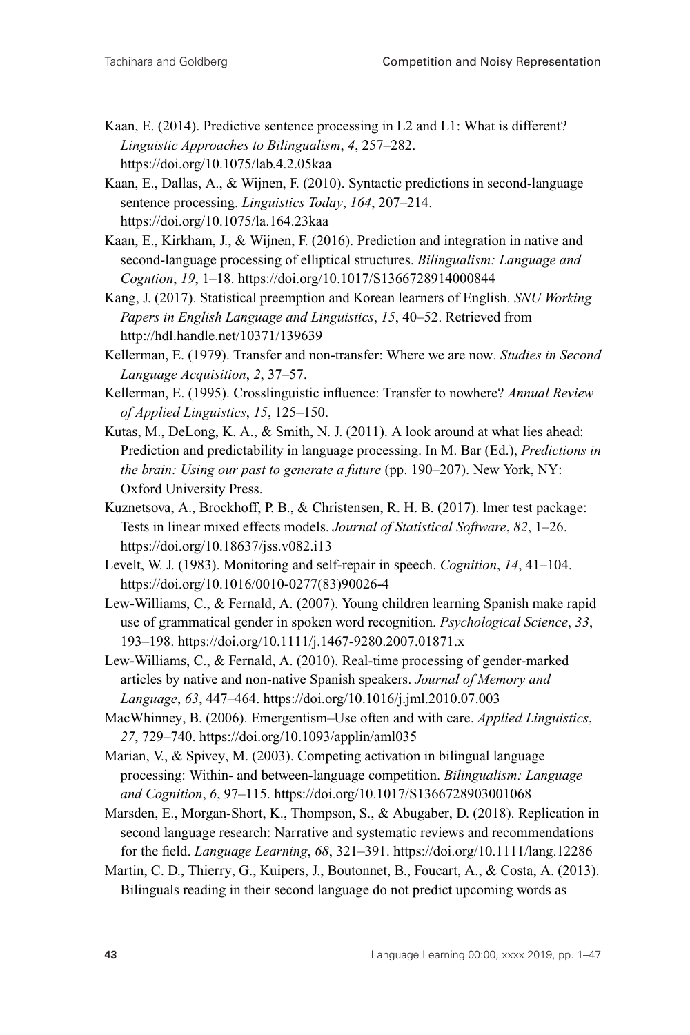- Kaan, E. (2014). Predictive sentence processing in L2 and L1: What is different? *Linguistic Approaches to Bilingualism*, *4*, 257–282. https://doi.org/10.1075/lab.4.2.05kaa
- Kaan, E., Dallas, A., & Wijnen, F. (2010). Syntactic predictions in second-language sentence processing. *Linguistics Today*, *164*, 207–214. https://doi.org/10.1075/la.164.23kaa
- Kaan, E., Kirkham, J., & Wijnen, F. (2016). Prediction and integration in native and second-language processing of elliptical structures. *Bilingualism: Language and Cogntion*, *19*, 1–18. https://doi.org/10.1017/S1366728914000844
- Kang, J. (2017). Statistical preemption and Korean learners of English. *SNU Working Papers in English Language and Linguistics*, *15*, 40–52. Retrieved from http://hdl.handle.net/10371/139639
- Kellerman, E. (1979). Transfer and non-transfer: Where we are now. *Studies in Second Language Acquisition*, *2*, 37–57.
- Kellerman, E. (1995). Crosslinguistic influence: Transfer to nowhere? *Annual Review of Applied Linguistics*, *15*, 125–150.
- Kutas, M., DeLong, K. A., & Smith, N. J. (2011). A look around at what lies ahead: Prediction and predictability in language processing. In M. Bar (Ed.), *Predictions in the brain: Using our past to generate a future* (pp. 190–207). New York, NY: Oxford University Press.
- Kuznetsova, A., Brockhoff, P. B., & Christensen, R. H. B. (2017). lmer test package: Tests in linear mixed effects models. *Journal of Statistical Software*, *82*, 1–26. https://doi.org/10.18637/jss.v082.i13
- Levelt, W. J. (1983). Monitoring and self-repair in speech. *Cognition*, *14*, 41–104. https://doi.org/10.1016/0010-0277(83)90026-4
- Lew-Williams, C., & Fernald, A. (2007). Young children learning Spanish make rapid use of grammatical gender in spoken word recognition. *Psychological Science*, *33*, 193–198. https://doi.org/10.1111/j.1467-9280.2007.01871.x
- Lew-Williams, C., & Fernald, A. (2010). Real-time processing of gender-marked articles by native and non-native Spanish speakers. *Journal of Memory and Language*, *63*, 447–464. https://doi.org/10.1016/j.jml.2010.07.003
- MacWhinney, B. (2006). Emergentism–Use often and with care. *Applied Linguistics*, *27*, 729–740. https://doi.org/10.1093/applin/aml035
- Marian, V., & Spivey, M. (2003). Competing activation in bilingual language processing: Within- and between-language competition. *Bilingualism: Language and Cognition*, *6*, 97–115. https://doi.org/10.1017/S1366728903001068
- Marsden, E., Morgan-Short, K., Thompson, S., & Abugaber, D. (2018). Replication in second language research: Narrative and systematic reviews and recommendations for the field. *Language Learning*, *68*, 321–391. https://doi.org/10.1111/lang.12286
- Martin, C. D., Thierry, G., Kuipers, J., Boutonnet, B., Foucart, A., & Costa, A. (2013). Bilinguals reading in their second language do not predict upcoming words as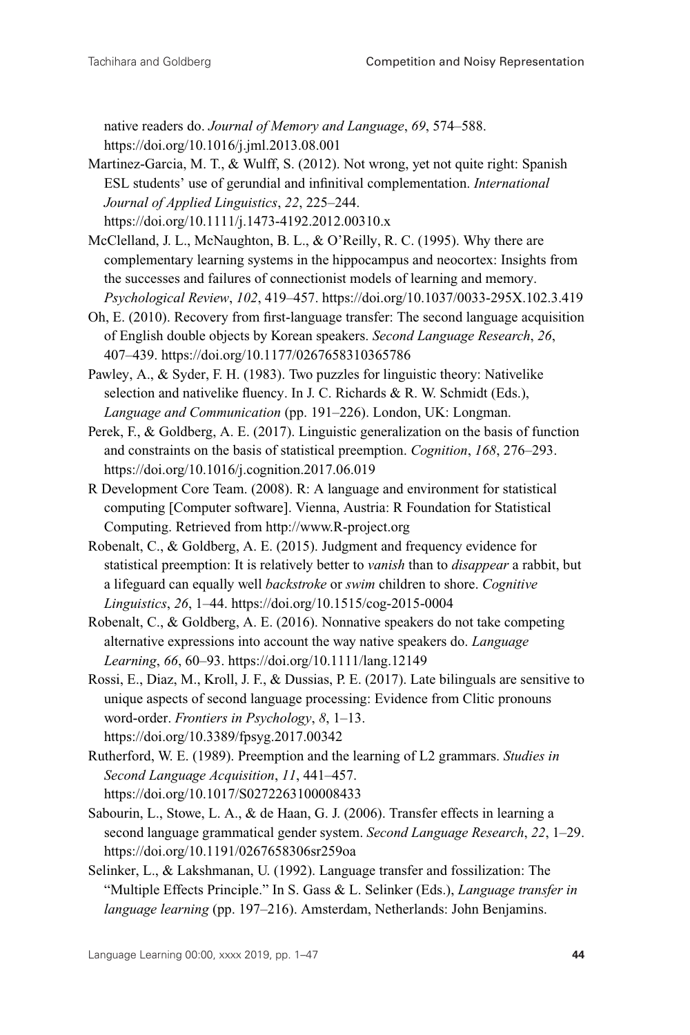native readers do. *Journal of Memory and Language*, *69*, 574–588. https://doi.org/10.1016/j.jml.2013.08.001

Martinez-Garcia, M. T., & Wulff, S. (2012). Not wrong, yet not quite right: Spanish ESL students' use of gerundial and infinitival complementation. *International Journal of Applied Linguistics*, *22*, 225–244.

https://doi.org/10.1111/j.1473-4192.2012.00310.x

- McClelland, J. L., McNaughton, B. L., & O'Reilly, R. C. (1995). Why there are complementary learning systems in the hippocampus and neocortex: Insights from the successes and failures of connectionist models of learning and memory. *Psychological Review*, *102*, 419–457. https://doi.org/10.1037/0033-295X.102.3.419
- Oh, E. (2010). Recovery from first-language transfer: The second language acquisition of English double objects by Korean speakers. *Second Language Research*, *26*, 407–439. https://doi.org/10.1177/0267658310365786
- Pawley, A., & Syder, F. H. (1983). Two puzzles for linguistic theory: Nativelike selection and nativelike fluency. In J. C. Richards & R. W. Schmidt (Eds.), *Language and Communication* (pp. 191–226). London, UK: Longman.
- Perek, F., & Goldberg, A. E. (2017). Linguistic generalization on the basis of function and constraints on the basis of statistical preemption. *Cognition*, *168*, 276–293. https://doi.org/10.1016/j.cognition.2017.06.019
- R Development Core Team. (2008). R: A language and environment for statistical computing [Computer software]. Vienna, Austria: R Foundation for Statistical Computing. Retrieved from http://www.R-project.org
- Robenalt, C., & Goldberg, A. E. (2015). Judgment and frequency evidence for statistical preemption: It is relatively better to *vanish* than to *disappear* a rabbit, but a lifeguard can equally well *backstroke* or *swim* children to shore. *Cognitive Linguistics*, *26*, 1–44. https://doi.org/10.1515/cog-2015-0004
- Robenalt, C., & Goldberg, A. E. (2016). Nonnative speakers do not take competing alternative expressions into account the way native speakers do. *Language Learning*, *66*, 60–93. https://doi.org/10.1111/lang.12149
- Rossi, E., Diaz, M., Kroll, J. F., & Dussias, P. E. (2017). Late bilinguals are sensitive to unique aspects of second language processing: Evidence from Clitic pronouns word-order. *Frontiers in Psychology*, *8*, 1–13. https://doi.org/10.3389/fpsyg.2017.00342

Rutherford, W. E. (1989). Preemption and the learning of L2 grammars. *Studies in Second Language Acquisition*, *11*, 441–457. https://doi.org/10.1017/S0272263100008433

- Sabourin, L., Stowe, L. A., & de Haan, G. J. (2006). Transfer effects in learning a second language grammatical gender system. *Second Language Research*, *22*, 1–29. https://doi.org/10.1191/0267658306sr259oa
- Selinker, L., & Lakshmanan, U. (1992). Language transfer and fossilization: The "Multiple Effects Principle." In S. Gass & L. Selinker (Eds.), *Language transfer in language learning* (pp. 197–216). Amsterdam, Netherlands: John Benjamins.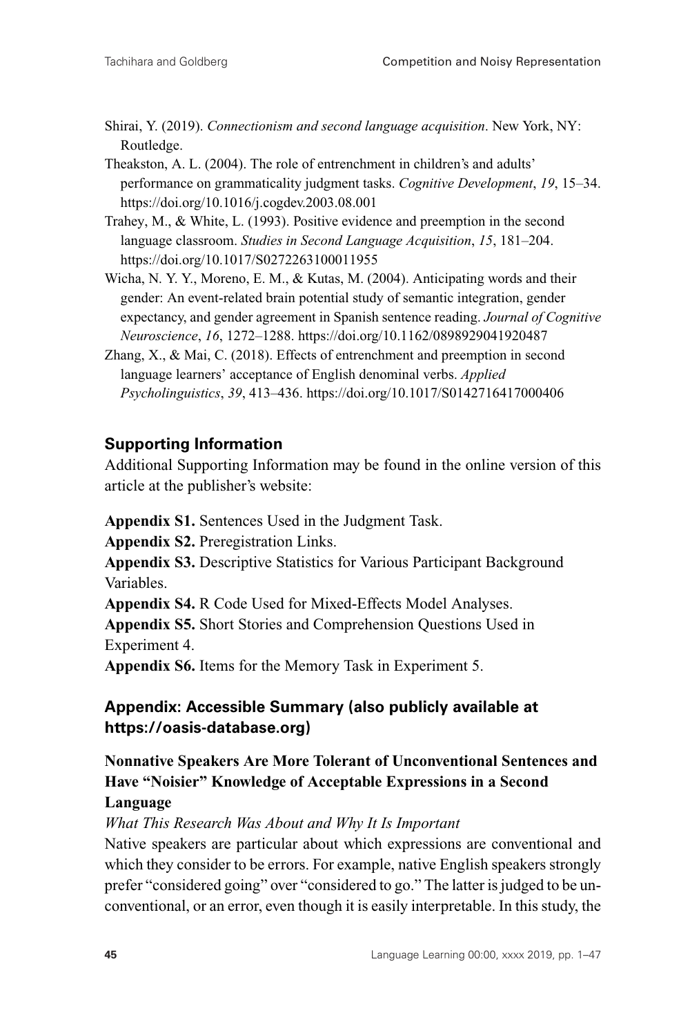- Shirai, Y. (2019). *Connectionism and second language acquisition*. New York, NY: Routledge.
- Theakston, A. L. (2004). The role of entrenchment in children's and adults' performance on grammaticality judgment tasks. *Cognitive Development*, *19*, 15–34. https://doi.org/10.1016/j.cogdev.2003.08.001
- Trahey, M., & White, L. (1993). Positive evidence and preemption in the second language classroom. *Studies in Second Language Acquisition*, *15*, 181–204. https://doi.org/10.1017/S0272263100011955
- Wicha, N. Y. Y., Moreno, E. M., & Kutas, M. (2004). Anticipating words and their gender: An event-related brain potential study of semantic integration, gender expectancy, and gender agreement in Spanish sentence reading. *Journal of Cognitive Neuroscience*, *16*, 1272–1288. https://doi.org/10.1162/0898929041920487
- Zhang, X., & Mai, C. (2018). Effects of entrenchment and preemption in second language learners' acceptance of English denominal verbs. *Applied Psycholinguistics*, *39*, 413–436. https://doi.org/10.1017/S0142716417000406

## **Supporting Information**

Additional Supporting Information may be found in the online version of this article at the publisher's website:

**Appendix S1.** Sentences Used in the Judgment Task.

**Appendix S2.** Preregistration Links.

**Appendix S3.** Descriptive Statistics for Various Participant Background Variables.

**Appendix S4.** R Code Used for Mixed-Effects Model Analyses.

**Appendix S5.** Short Stories and Comprehension Questions Used in Experiment 4.

**Appendix S6.** Items for the Memory Task in Experiment 5.

# **Appendix: Accessible Summary (also publicly available at https://oasis-database.org)**

# **Nonnative Speakers Are More Tolerant of Unconventional Sentences and Have "Noisier" Knowledge of Acceptable Expressions in a Second Language**

#### *What This Research Was About and Why It Is Important*

Native speakers are particular about which expressions are conventional and which they consider to be errors. For example, native English speakers strongly prefer "considered going" over "considered to go." The latter is judged to be unconventional, or an error, even though it is easily interpretable. In this study, the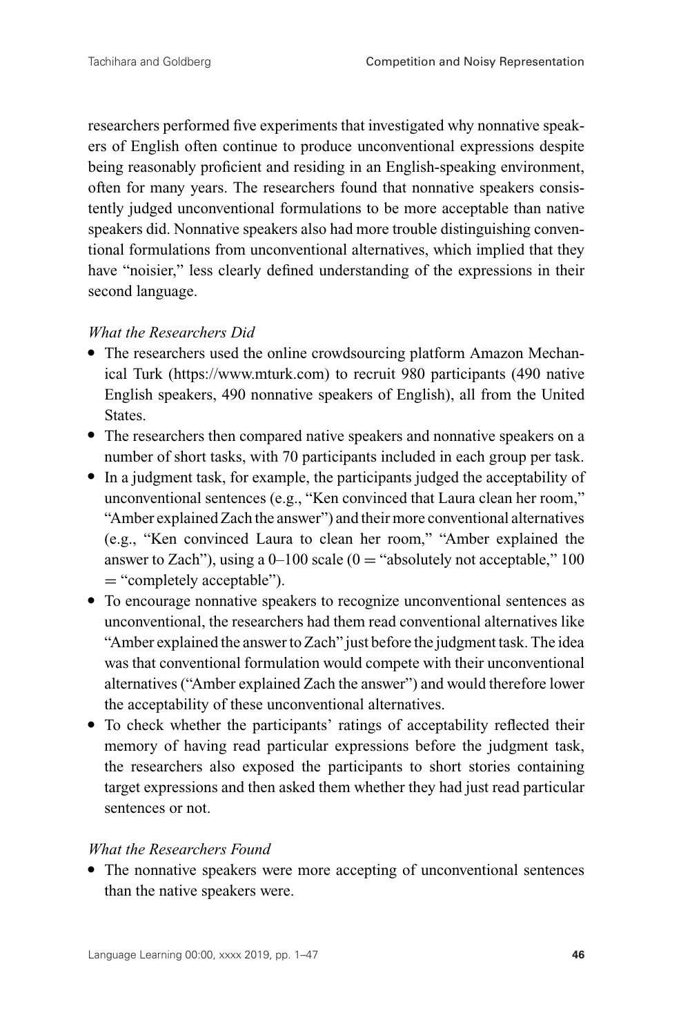researchers performed five experiments that investigated why nonnative speakers of English often continue to produce unconventional expressions despite being reasonably proficient and residing in an English-speaking environment, often for many years. The researchers found that nonnative speakers consistently judged unconventional formulations to be more acceptable than native speakers did. Nonnative speakers also had more trouble distinguishing conventional formulations from unconventional alternatives, which implied that they have "noisier," less clearly defined understanding of the expressions in their second language.

#### *What the Researchers Did*

- The researchers used the online crowdsourcing platform Amazon Mechanical Turk (https://www.mturk.com) to recruit 980 participants (490 native English speakers, 490 nonnative speakers of English), all from the United States.
- The researchers then compared native speakers and nonnative speakers on a number of short tasks, with 70 participants included in each group per task.
- In a judgment task, for example, the participants judged the acceptability of unconventional sentences (e.g., "Ken convinced that Laura clean her room," "Amber explained Zach the answer") and their more conventional alternatives (e.g., "Ken convinced Laura to clean her room," "Amber explained the answer to Zach"), using a 0–100 scale (0 = "absolutely not acceptable," 100 = "completely acceptable").
- = "completely acceptable").<br>• To encourage nonnative speakers to recognize unconventional sentences as unconventional, the researchers had them read conventional alternatives like "Amber explained the answer to Zach" just before the judgment task. The idea was that conventional formulation would compete with their unconventional alternatives ("Amber explained Zach the answer") and would therefore lower the acceptability of these unconventional alternatives.
- To check whether the participants' ratings of acceptability reflected their memory of having read particular expressions before the judgment task, the researchers also exposed the participants to short stories containing target expressions and then asked them whether they had just read particular sentences or not.

#### *What the Researchers Found*

- The nonnative speakers were more accepting of unconventional sentences than the native speakers were.